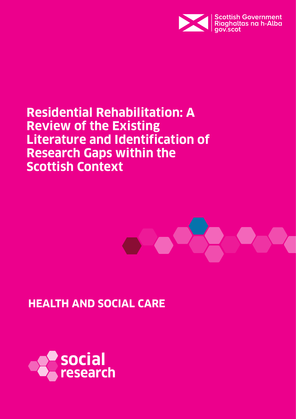

# **Residential Rehabilitation: A Review of the Existing Literature and Identification of Research Gaps within the Scottish Context**



# **HEALTH AND SOCIAL CARE**

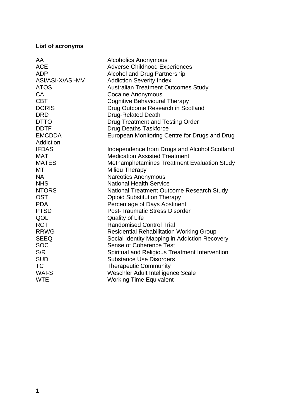## **List of acronyms**

| AA               | <b>Alcoholics Anonymous</b>                        |
|------------------|----------------------------------------------------|
| <b>ACE</b>       | <b>Adverse Childhood Experiences</b>               |
| <b>ADP</b>       | <b>Alcohol and Drug Partnership</b>                |
| ASI/ASI-X/ASI-MV | <b>Addiction Severity Index</b>                    |
| <b>ATOS</b>      | <b>Australian Treatment Outcomes Study</b>         |
| <b>CA</b>        | <b>Cocaine Anonymous</b>                           |
| <b>CBT</b>       | <b>Cognitive Behavioural Therapy</b>               |
| <b>DORIS</b>     | Drug Outcome Research in Scotland                  |
| <b>DRD</b>       | <b>Drug-Related Death</b>                          |
| <b>DTTO</b>      | <b>Drug Treatment and Testing Order</b>            |
| <b>DDTF</b>      | <b>Drug Deaths Taskforce</b>                       |
| <b>EMCDDA</b>    | European Monitoring Centre for Drugs and Drug      |
| Addiction        |                                                    |
| <b>IFDAS</b>     | Independence from Drugs and Alcohol Scotland       |
| <b>MAT</b>       | <b>Medication Assisted Treatment</b>               |
| <b>MATES</b>     | <b>Methamphetamines Treatment Evaluation Study</b> |
| МT               | Milieu Therapy                                     |
| <b>NA</b>        | <b>Narcotics Anonymous</b>                         |
| <b>NHS</b>       | <b>National Health Service</b>                     |
| <b>NTORS</b>     | <b>National Treatment Outcome Research Study</b>   |
| <b>OST</b>       | <b>Opioid Substitution Therapy</b>                 |
| <b>PDA</b>       | Percentage of Days Abstinent                       |
| <b>PTSD</b>      | <b>Post-Traumatic Stress Disorder</b>              |
| QOL              | <b>Quality of Life</b>                             |
| <b>RCT</b>       | <b>Randomised Control Trial</b>                    |
| <b>RRWG</b>      | <b>Residential Rehabilitation Working Group</b>    |
| <b>SEEQ</b>      | Social Identity Mapping in Addiction Recovery      |
| <b>SOC</b>       | <b>Sense of Coherence Test</b>                     |
| S/R              | Spiritual and Religious Treatment Intervention     |
| <b>SUD</b>       | <b>Substance Use Disorders</b>                     |
| <b>TC</b>        | <b>Therapeutic Community</b>                       |
| <b>WAI-S</b>     | Weschler Adult Intelligence Scale                  |
| <b>WTE</b>       | <b>Working Time Equivalent</b>                     |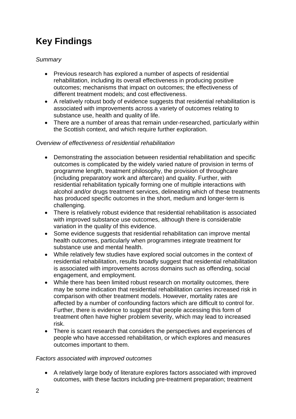# **Key Findings**

# *Summary*

- Previous research has explored a number of aspects of residential rehabilitation, including its overall effectiveness in producing positive outcomes; mechanisms that impact on outcomes; the effectiveness of different treatment models; and cost effectiveness.
- A relatively robust body of evidence suggests that residential rehabilitation is associated with improvements across a variety of outcomes relating to substance use, health and quality of life.
- There are a number of areas that remain under-researched, particularly within the Scottish context, and which require further exploration.

#### *Overview of effectiveness of residential rehabilitation*

- Demonstrating the association between residential rehabilitation and specific outcomes is complicated by the widely varied nature of provision in terms of programme length, treatment philosophy, the provision of throughcare (including preparatory work and aftercare) and quality. Further, with residential rehabilitation typically forming one of multiple interactions with alcohol and/or drugs treatment services, delineating which of these treatments has produced specific outcomes in the short, medium and longer-term is challenging.
- There is relatively robust evidence that residential rehabilitation is associated with improved substance use outcomes, although there is considerable variation in the quality of this evidence.
- Some evidence suggests that residential rehabilitation can improve mental health outcomes, particularly when programmes integrate treatment for substance use and mental health.
- While relatively few studies have explored social outcomes in the context of residential rehabilitation, results broadly suggest that residential rehabilitation is associated with improvements across domains such as offending, social engagement, and employment.
- While there has been limited robust research on mortality outcomes, there may be some indication that residential rehabilitation carries increased risk in comparison with other treatment models. However, mortality rates are affected by a number of confounding factors which are difficult to control for. Further, there is evidence to suggest that people accessing this form of treatment often have higher problem severity, which may lead to increased risk.
- There is scant research that considers the perspectives and experiences of people who have accessed rehabilitation, or which explores and measures outcomes important to them.

#### *Factors associated with improved outcomes*

• A relatively large body of literature explores factors associated with improved outcomes, with these factors including pre-treatment preparation; treatment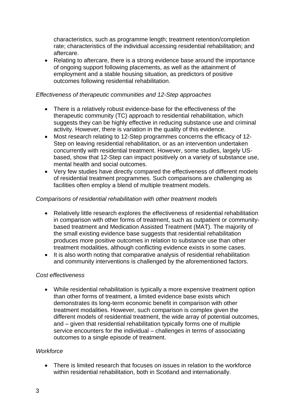characteristics, such as programme length; treatment retention/completion rate; characteristics of the individual accessing residential rehabilitation; and aftercare.

• Relating to aftercare, there is a strong evidence base around the importance of ongoing support following placements, as well as the attainment of employment and a stable housing situation, as predictors of positive outcomes following residential rehabilitation.

#### *Effectiveness of therapeutic communities and 12-Step approaches*

- There is a relatively robust evidence-base for the effectiveness of the therapeutic community (TC) approach to residential rehabilitation, which suggests they can be highly effective in reducing substance use and criminal activity. However, there is variation in the quality of this evidence.
- Most research relating to 12-Step programmes concerns the efficacy of 12- Step on leaving residential rehabilitation, or as an intervention undertaken concurrently with residential treatment. However, some studies, largely USbased, show that 12-Step can impact positively on a variety of substance use, mental health and social outcomes.
- Very few studies have directly compared the effectiveness of different models of residential treatment programmes. Such comparisons are challenging as facilities often employ a blend of multiple treatment models.

#### *Comparisons of residential rehabilitation with other treatment models*

- Relatively little research explores the effectiveness of residential rehabilitation in comparison with other forms of treatment, such as outpatient or communitybased treatment and Medication Assisted Treatment (MAT). The majority of the small existing evidence base suggests that residential rehabilitation produces more positive outcomes in relation to substance use than other treatment modalities, although conflicting evidence exists in some cases.
- It is also worth noting that comparative analysis of residential rehabilitation and community interventions is challenged by the aforementioned factors.

#### *Cost effectiveness*

• While residential rehabilitation is typically a more expensive treatment option than other forms of treatment, a limited evidence base exists which demonstrates its long-term economic benefit in comparison with other treatment modalities. However, such comparison is complex given the different models of residential treatment, the wide array of potential outcomes, and – given that residential rehabilitation typically forms one of multiple service encounters for the individual – challenges in terms of associating outcomes to a single episode of treatment.

#### *Workforce*

• There is limited research that focuses on issues in relation to the workforce within residential rehabilitation, both in Scotland and internationally.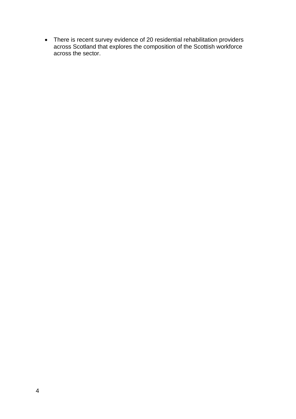• There is recent survey evidence of 20 residential rehabilitation providers across Scotland that explores the composition of the Scottish workforce across the sector.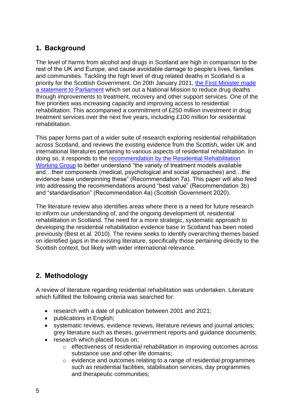# **1. Background**

The level of harms from alcohol and drugs in Scotland are high in comparison to the rest of the UK and Europe, and cause avoidable damage to people's lives, families and communities. Tackling the high level of drug related deaths in Scotland is a priority for the Scottish Government. On 20th January 2021, [the First Minister made](https://www.gov.scot/publications/update-drugs-policy/)  [a statement to Parliament](https://www.gov.scot/publications/update-drugs-policy/) which set out a National Mission to reduce drug deaths through improvements to treatment, recovery and other support services. One of the five priorities was increasing capacity and improving access to residential rehabilitation. This accompanied a commitment of £250 million investment in drug treatment services over the next five years, including £100 million for residential rehabilitation.

This paper forms part of a wider suite of research exploring residential rehabilitation across Scotland, and reviews the existing evidence from the Scottish, wider UK and international literatures pertaining to various aspects of residential rehabilitation. In doing so, it responds to the [recommendation by the Residential Rehabilitation](https://www.gov.scot/publications/residential-rehabilitation-working-group-preliminary-recommendations-drug-alcohol-residential-treatment-services/)  [Working Group](https://www.gov.scot/publications/residential-rehabilitation-working-group-preliminary-recommendations-drug-alcohol-residential-treatment-services/) to better understand "the variety of treatment models available and…their components (medical, psychological and social approaches) and…the evidence base underpinning these" (Recommendation 7a). This paper will also feed into addressing the recommendations around "best value" (Recommendation 3b) and "standardisation" (Recommendation 4a) (Scottish Government 2020).

The literature review also identifies areas where there is a need for future research to inform our understanding of, and the ongoing development of, residential rehabilitation in Scotland. The need for a more strategic, systematic approach to developing the residential rehabilitation evidence base in Scotland has been noted previously (Best et al. 2010). The review seeks to identify overarching themes based on identified gaps in the existing literature, specifically those pertaining directly to the Scottish context, but likely with wider international relevance.

# **2. Methodology**

A review of literature regarding residential rehabilitation was undertaken. Literature which fulfilled the following criteria was searched for:

- research with a date of publication between 2001 and 2021;
- publications in English;
- systematic reviews, evidence reviews, literature reviews and journal articles; grey literature such as theses, government reports and guidance documents;
- research which placed focus on;
	- o effectiveness of residential rehabilitation in improving outcomes across substance use and other life domains;
	- o evidence and outcomes relating to a range of residential programmes such as residential facilities, stabilisation services, day programmes and therapeutic communities;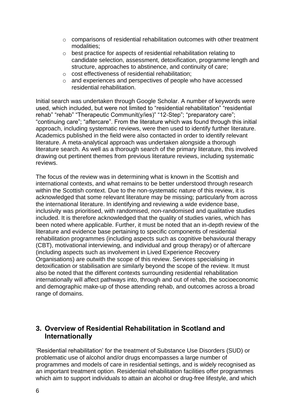- $\circ$  comparisons of residential rehabilitation outcomes with other treatment modalities;
- o best practice for aspects of residential rehabilitation relating to candidate selection, assessment, detoxification, programme length and structure, approaches to abstinence, and continuity of care;
- o cost effectiveness of residential rehabilitation;
- o and experiences and perspectives of people who have accessed residential rehabilitation.

Initial search was undertaken through Google Scholar. A number of keywords were used, which included, but were not limited to "residential rehabilitation" "residential rehab" "rehab" "Therapeutic Communit(y/ies)" "12-Step"; "preparatory care"; "continuing care"; "aftercare". From the literature which was found through this initial approach, including systematic reviews, were then used to identify further literature. Academics published in the field were also contacted in order to identify relevant literature. A meta-analytical approach was undertaken alongside a thorough literature search. As well as a thorough search of the primary literature, this involved drawing out pertinent themes from previous literature reviews, including systematic reviews.

The focus of the review was in determining what is known in the Scottish and international contexts, and what remains to be better understood through research within the Scottish context. Due to the non-systematic nature of this review, it is acknowledged that some relevant literature may be missing; particularly from across the international literature. In identifying and reviewing a wide evidence base, inclusivity was prioritised, with randomised, non-randomised and qualitative studies included. It is therefore acknowledged that the quality of studies varies, which has been noted where applicable. Further, it must be noted that an in-depth review of the literature and evidence base pertaining to specific components of residential rehabilitation programmes (including aspects such as cognitive behavioural therapy (CBT), motivational interviewing, and individual and group therapy) or of aftercare (including aspects such as involvement in Lived Experience Recovery Organisations) are outwith the scope of this review. Services specialising in detoxification or stabilisation are similarly beyond the scope of the review. It must also be noted that the different contexts surrounding residential rehabilitation internationally will affect pathways into, through and out of rehab, the socioeconomic and demographic make-up of those attending rehab, and outcomes across a broad range of domains.

# **3. Overview of Residential Rehabilitation in Scotland and Internationally**

'Residential rehabilitation' for the treatment of Substance Use Disorders (SUD) or problematic use of alcohol and/or drugs encompasses a large number of programmes and models of care in residential settings, and is widely recognised as an important treatment option. Residential rehabilitation facilities offer programmes which aim to support individuals to attain an alcohol or drug-free lifestyle, and which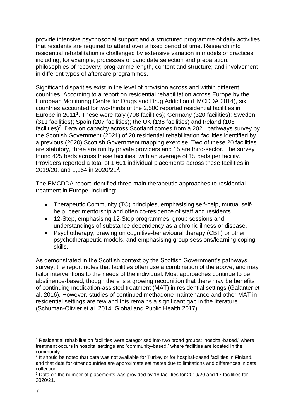provide intensive psychosocial support and a structured programme of daily activities that residents are required to attend over a fixed period of time. Research into residential rehabilitation is challenged by extensive variation in models of practices, including, for example, processes of candidate selection and preparation; philosophies of recovery; programme length, content and structure; and involvement in different types of aftercare programmes.

Significant disparities exist in the level of provision across and within different countries. According to a report on residential rehabilitation across Europe by the European Monitoring Centre for Drugs and Drug Addiction (EMCDDA 2014), six countries accounted for two-thirds of the 2,500 reported residential facilities in Europe in 2011<sup>1</sup>. These were Italy (708 facilities); Germany (320 facilities); Sweden (311 facilities); Spain (207 facilities); the UK (138 facilities) and Ireland (108 facilities)<sup>2</sup>. Data on capacity across Scotland comes from a 2021 pathways survey by the Scottish Government (2021) of 20 residential rehabilitation facilities identified by a previous (2020) Scottish Government mapping exercise. Two of these 20 facilities are statutory, three are run by private providers and 15 are third-sector. The survey found 425 beds across these facilities, with an average of 15 beds per facility. Providers reported a total of 1,601 individual placements across these facilities in 2019/20, and 1,164 in 2020/21<sup>3</sup>.

The EMCDDA report identified three main therapeutic approaches to residential treatment in Europe, including:

- Therapeutic Community (TC) principles, emphasising self-help, mutual selfhelp, peer mentorship and often co-residence of staff and residents.
- 12-Step, emphasising 12-Step programmes, group sessions and understandings of substance dependency as a chronic illness or disease.
- Psychotherapy, drawing on cognitive-behavioural therapy (CBT) or other psychotherapeutic models, and emphasising group sessions/learning coping skills.

As demonstrated in the Scottish context by the Scottish Government's pathways survey, the report notes that facilities often use a combination of the above, and may tailor interventions to the needs of the individual. Most approaches continue to be abstinence-based, though there is a growing recognition that there may be benefits of continuing medication-assisted treatment (MAT) in residential settings (Galanter et al. 2016). However, studies of continued methadone maintenance and other MAT in residential settings are few and this remains a significant gap in the literature (Schuman-Olivier et al. 2014; Global and Public Health 2017).

<sup>1</sup>  $1$  Residential rehabilitation facilities were categorised into two broad groups: 'hospital-based,' where treatment occurs in hospital settings and 'community-based,' where facilities are located in the community.

 $2$  It should be noted that data was not available for Turkey or for hospital-based facilities in Finland, and that data for other countries are approximate estimates due to limitations and differences in data collection.

<sup>&</sup>lt;sup>3</sup> Data on the number of placements was provided by 18 facilities for 2019/20 and 17 facilities for 2020/21.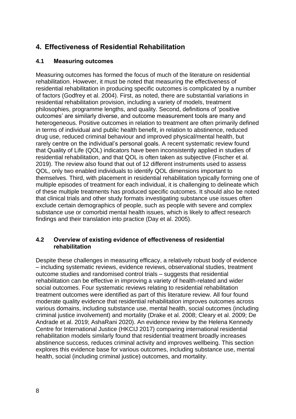# **4. Effectiveness of Residential Rehabilitation**

# **4.1 Measuring outcomes**

Measuring outcomes has formed the focus of much of the literature on residential rehabilitation. However, it must be noted that measuring the effectiveness of residential rehabilitation in producing specific outcomes is complicated by a number of factors (Godfrey et al. 2004). First, as noted, there are substantial variations in residential rehabilitation provision, including a variety of models, treatment philosophies, programme lengths, and quality. Second, definitions of 'positive outcomes' are similarly diverse, and outcome measurement tools are many and heterogeneous. Positive outcomes in relation to treatment are often primarily defined in terms of individual and public health benefit, in relation to abstinence, reduced drug use, reduced criminal behaviour and improved physical/mental health, but rarely centre on the individual's personal goals. A recent systematic review found that Quality of Life (QOL) indicators have been inconsistently applied in studies of residential rehabilitation, and that QOL is often taken as subjective (Fischer et al. 2019). The review also found that out of 12 different instruments used to assess QOL, only two enabled individuals to identify QOL dimensions important to themselves. Third, with placement in residential rehabilitation typically forming one of multiple episodes of treatment for each individual, it is challenging to delineate which of these multiple treatments has produced specific outcomes. It should also be noted that clinical trials and other study formats investigating substance use issues often exclude certain demographics of people, such as people with severe and complex substance use or comorbid mental health issues, which is likely to affect research findings and their translation into practice (Day et al. 2005).

## **4.2 Overview of existing evidence of effectiveness of residential rehabilitation**

Despite these challenges in measuring efficacy, a relatively robust body of evidence – including systematic reviews, evidence reviews, observational studies, treatment outcome studies and randomised control trials – suggests that residential rehabilitation can be effective in improving a variety of health-related and wider social outcomes. Four systematic reviews relating to residential rehabilitation treatment outcomes were identified as part of this literature review. All four found moderate quality evidence that residential rehabilitation improves outcomes across various domains, including substance use, mental health, social outcomes (including criminal justice involvement) and mortality (Drake et al. 2008; Cleary et al. 2009; De Andrade et al. 2019; AshaRani 2020). An evidence review by the Helena Kennedy Centre for International Justice (HKCIJ 2017) comparing international residential rehabilitation models similarly found that residential treatment broadly increases abstinence success, reduces criminal activity and improves wellbeing. This section explores this evidence base for various outcomes, including substance use, mental health, social (including criminal justice) outcomes, and mortality.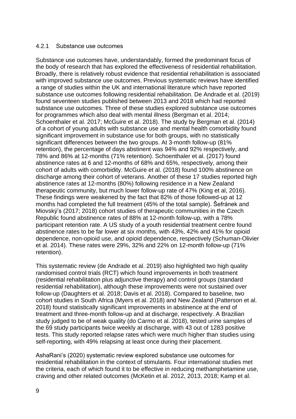#### 4.2.1 Substance use outcomes

Substance use outcomes have, understandably, formed the predominant focus of the body of research that has explored the effectiveness of residential rehabilitation. Broadly, there is relatively robust evidence that residential rehabilitation is associated with improved substance use outcomes. Previous systematic reviews have identified a range of studies within the UK and international literature which have reported substance use outcomes following residential rehabilitation. De Andrade et al. (2019) found seventeen studies published between 2013 and 2018 which had reported substance use outcomes. Three of these studies explored substance use outcomes for programmes which also deal with mental illness (Bergman et al. 2014; Schoenthaler et al. 2017; McGuire et al. 2018). The study by Bergman et al. (2014) of a cohort of young adults with substance use and mental health comorbidity found significant improvement in substance use for both groups, with no statistically significant differences between the two groups. At 3-month follow-up (81% retention), the percentage of days abstinent was 94% and 92% respectively, and 78% and 86% at 12-months (71% retention). Schoenthaler et al. (2017) found abstinence rates at 6 and 12-months of 68% and 65%, respectively, among their cohort of adults with comorbidity. McGuire et al. (2018) found 100% abstinence on discharge among their cohort of veterans. Another of these 17 studies reported high abstinence rates at 12-months (80%) following residence in a New Zealand therapeutic community, but much lower follow-up rate of 47% (King et al, 2016). These findings were weakened by the fact that 82% of those followed-up at 12 months had completed the full treatment (45% of the total sample). Šefránek and Miovský's (2017; 2018) cohort studies of therapeutic communities in the Czech Republic found abstinence rates of 88% at 12-month follow-up, with a 78% participant retention rate. A US study of a youth residential treatment centre found abstinence rates to be far lower at six months, with 43%, 42% and 41% for opioid dependence, non-opioid use, and opioid dependence, respectively (Schuman-Olivier et al. 2014). These rates were 29%, 32% and 22% on 12-month follow-up (71% retention).

This systematic review (de Andrade et al. 2019) also highlighted two high quality randomised control trials (RCT) which found improvements in both treatment (residential rehabilitation plus adjunctive therapy) and control groups (standard residential rehabilitation), although these improvements were not sustained over follow-up (Daughters et al. 2018; Davis et al. 2018). Compared to baseline, two cohort studies in South Africa (Myers et al. 2018) and New Zealand (Patterson et al. 2018) found statistically significant improvements in abstinence at the end of treatment and three-month follow-up and at discharge, respectively. A Brazilian study judged to be of weak quality (do Carmo et al. 2018), tested urine samples of the 69 study participants twice weekly at discharge, with 43 out of 1283 positive tests. This study reported relapse rates which were much higher than studies using self-reporting, with 49% relapsing at least once during their placement.

AshaRani's (2020) systematic review explored substance use outcomes for residential rehabilitation in the context of stimulants. Four international studies met the criteria, each of which found it to be effective in reducing methamphetamine use, craving and other related outcomes (McKetin et al. 2012, 2013, 2018; Kamp et al.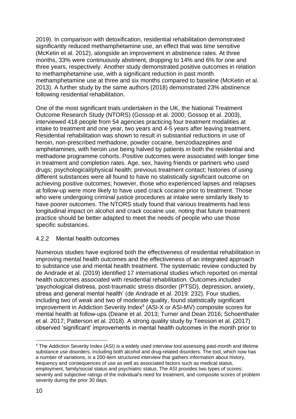2019). In comparison with detoxification, residential rehabilitation demonstrated significantly reduced methamphetamine use, an effect that was time sensitive (McKetin et al. 2012), alongside an improvement in abstinence rates. At three months, 33% were continuously abstinent, dropping to 14% and 6% for one and three years, respectively. Another study demonstrated positive outcomes in relation to methamphetamine use, with a significant reduction in past month methamphetamine use at three and six months compared to baseline (McKetin et al. 2013). A further study by the same authors (2018) demonstrated 23% abstinence following residential rehabilitation.

One of the most significant trials undertaken in the UK, the National Treatment Outcome Research Study (NTORS) (Gossop et al. 2000; Gossop et al. 2003), interviewed 418 people from 54 agencies practicing four treatment modalities at intake to treatment and one year, two years and 4-5 years after leaving treatment. Residential rehabilitation was shown to result in substantial reductions in use of heroin, non-prescribed methadone, powder cocaine, benzodiazepines and amphetamines, with heroin use being halved by patients in both the residential and methadone programme cohorts. Positive outcomes were associated with longer time in treatment and completion rates. Age, sex, having friends or partners who used drugs; psychological/physical health; previous treatment contact; histories of using different substances were all found to have no statistically significant outcome on achieving positive outcomes; however, those who experienced lapses and relapses at follow-up were more likely to have used crack cocaine prior to treatment. Those who were undergoing criminal justice procedures at intake were similarly likely to have poorer outcomes. The NTORS study found that various treatments had less longitudinal impact on alcohol and crack cocaine use, noting that future treatment practice should be better adapted to meet the needs of people who use those specific substances.

#### 4.2.2 Mental health outcomes

Numerous studies have explored both the effectiveness of residential rehabilitation in improving mental health outcomes and the effectiveness of an integrated approach to substance use and mental health treatment. The systematic review conducted by de Andrade et al. (2019) identified 17 international studies which reported on mental health outcomes associated with residential rehabilitation. Outcomes included 'psychological distress, post-traumatic stress disorder (PTSD), depression, anxiety, stress and general mental health' (de Andrade et al. 2019: 232). Four studies, including two of weak and two of moderate quality, found statistically significant improvement in Addiction Severity Index<sup>4</sup> (ASI-X or ASI-MV) composite scores for mental health at follow-ups (Deane et al. 2013; Turner and Dean 2016; Schoenthaler et al. 2017; Patterson et al. 2018). A strong quality study by Teesson et al. (2017) observed 'significant' improvements in mental health outcomes in the month prior to

<sup>1</sup> <sup>4</sup> The Addiction Severity Index (ASI) is a widely used interview tool assessing past-month and lifetime substance use disorders, including both alcohol and drug-related disorders. The tool, which now has a number of variations, is a 200-item structured interview that gathers information about history, frequency and consequences of use as well as associated factors such as medical status, employment, family/social status and psychiatric status. The ASI provides two types of scores: severity and subjective ratings of the individual's need for treatment, and composite scores of problem severity during the prior 30 days.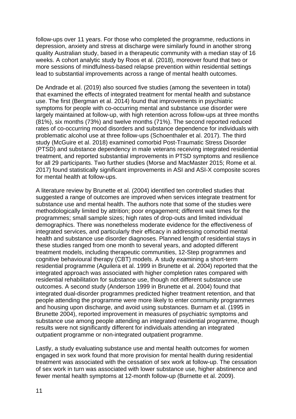follow-ups over 11 years. For those who completed the programme, reductions in depression, anxiety and stress at discharge were similarly found in another strong quality Australian study, based in a therapeutic community with a median stay of 16 weeks. A cohort analytic study by Roos et al. (2018), moreover found that two or more sessions of mindfulness-based relapse prevention within residential settings lead to substantial improvements across a range of mental health outcomes.

De Andrade et al. (2019) also sourced five studies (among the seventeen in total) that examined the effects of integrated treatment for mental health and substance use. The first (Bergman et al. 2014) found that improvements in psychiatric symptoms for people with co-occurring mental and substance use disorder were largely maintained at follow-up, with high retention across follow-ups at three months (81%), six months (73%) and twelve months (71%). The second reported reduced rates of co-occurring mood disorders and substance dependence for individuals with problematic alcohol use at three follow-ups (Schoenthaler et al. 2017). The third study (McGuire et al. 2018) examined comorbid Post-Traumatic Stress Disorder (PTSD) and substance dependency in male veterans receiving integrated residential treatment, and reported substantial improvements in PTSD symptoms and resilience for all 29 participants. Two further studies (Morse and MacMaster 2015; Rome et al. 2017) found statistically significant improvements in ASI and ASI-X composite scores for mental health at follow-ups.

A literature review by Brunette et al. (2004) identified ten controlled studies that suggested a range of outcomes are improved when services integrate treatment for substance use and mental health. The authors note that some of the studies were methodologically limited by attrition; poor engagement; different wait times for the programmes; small sample sizes; high rates of drop-outs and limited individual demographics. There was nonetheless moderate evidence for the effectiveness of integrated services, and particularly their efficacy in addressing comorbid mental health and substance use disorder diagnoses. Planned length of residential stays in these studies ranged from one month to several years, and adopted different treatment models, including therapeutic communities, 12-Step programmes and cognitive behavioural therapy (CBT) models. A study examining a short-term residential programme (Aguilera et al. 1999 in Brunette et al. 2004) reported that the integrated approach was associated with higher completion rates compared with residential rehabilitation for substance use, though not different substance use outcomes. A second study (Anderson 1999 in Brunette et al. 2004) found that integrated dual-disorder programmes predicted higher treatment retention, and that people attending the programme were more likely to enter community programmes and housing upon discharge, and avoid using substances. Burnam et al. (1995 in Brunette 2004), reported improvement in measures of psychiatric symptoms and substance use among people attending an integrated residential programme, though results were not significantly different for individuals attending an integrated outpatient programme or non-integrated outpatient programme.

Lastly, a study evaluating substance use and mental health outcomes for women engaged in sex work found that more provision for mental health during residential treatment was associated with the cessation of sex work at follow-up. The cessation of sex work in turn was associated with lower substance use, higher abstinence and fewer mental health symptoms at 12-month follow-up (Burnette et al. 2009).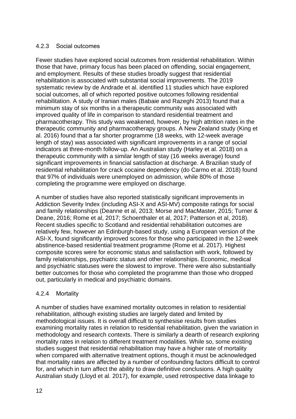#### 4.2.3 Social outcomes

Fewer studies have explored social outcomes from residential rehabilitation. Within those that have, primary focus has been placed on offending, social engagement, and employment. Results of these studies broadly suggest that residential rehabilitation is associated with substantial social improvements. The 2019 systematic review by de Andrade et al. identified 11 studies which have explored social outcomes, all of which reported positive outcomes following residential rehabilitation. A study of Iranian males (Babaie and Razeghi 2013) found that a minimum stay of six months in a therapeutic community was associated with improved quality of life in comparison to standard residential treatment and pharmacotherapy. This study was weakened, however, by high attrition rates in the therapeutic community and pharmacotherapy groups. A New Zealand study (King et al. 2016) found that a far shorter programme (18 weeks, with 12-week average length of stay) was associated with significant improvements in a range of social indicators at three-month follow-up. An Australian study (Harley et al. 2018) on a therapeutic community with a similar length of stay (16 weeks average) found significant improvements in financial satisfaction at discharge. A Brazilian study of residential rehabilitation for crack cocaine dependency (do Carmo et al. 2018) found that 97% of individuals were unemployed on admission, while 80% of those completing the programme were employed on discharge.

A number of studies have also reported statistically significant improvements in Addiction Severity Index (including ASI-X and ASI-MV) composite ratings for social and family relationships (Deanne et al, 2013; Morse and MacMaster, 2015; Turner & Deane, 2016; Rome et al, 2017; Schoenthaler et al, 2017; Patterson et al, 2018). Recent studies specific to Scotland and residential rehabilitation outcomes are relatively few, however an Edinburgh-based study, using a European version of the ASI-X, found significantly improved scores for those who participated in the 12-week abstinence-based residential treatment programme (Rome et al. 2017). Highest composite scores were for economic status and satisfaction with work, followed by family relationships, psychiatric status and other relationships. Economic, medical and psychiatric statuses were the slowest to improve. There were also substantially better outcomes for those who completed the programme than those who dropped out, particularly in medical and psychiatric domains.

## 4.2.4 Mortality

A number of studies have examined mortality outcomes in relation to residential rehabilitation, although existing studies are largely dated and limited by methodological issues. It is overall difficult to synthesise results from studies examining mortality rates in relation to residential rehabilitation, given the variation in methodology and research contexts. There is similarly a dearth of research exploring mortality rates in relation to different treatment modalities. While so, some existing studies suggest that residential rehabilitation may have a higher rate of mortality when compared with alternative treatment options, though it must be acknowledged that mortality rates are affected by a number of confounding factors difficult to control for, and which in turn affect the ability to draw definitive conclusions. A high quality Australian study (Lloyd et al. 2017), for example, used retrospective data linkage to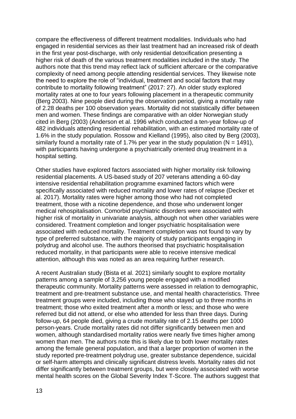compare the effectiveness of different treatment modalities. Individuals who had engaged in residential services as their last treatment had an increased risk of death in the first year post-discharge, with only residential detoxification presenting a higher risk of death of the various treatment modalities included in the study. The authors note that this trend may reflect lack of sufficient aftercare or the comparative complexity of need among people attending residential services. They likewise note the need to explore the role of "individual, treatment and social factors that may contribute to mortality following treatment" (2017: 27). An older study explored mortality rates at one to four years following placement in a therapeutic community (Berg 2003). Nine people died during the observation period, giving a mortality rate of 2.28 deaths per 100 observation years. Mortality did not statistically differ between men and women. These findings are comparative with an older Norwegian study cited in Berg (2003) (Anderson et al. 1996 which conducted a ten-year follow-up of 482 individuals attending residential rehabilitation, with an estimated mortality rate of 1.6% in the study population. Rossow and Kielland (1995), also cited by Berg (2003), similarly found a mortality rate of 1.7% per year in the study population ( $N = 1491$ ), with participants having undergone a psychiatrically oriented drug treatment in a hospital setting.

Other studies have explored factors associated with higher mortality risk following residential placements. A US-based study of 207 veterans attending a 60-day intensive residential rehabilitation programme examined factors which were specifically associated with reduced mortality and lower rates of relapse (Decker et al. 2017). Mortality rates were higher among those who had not completed treatment, those with a nicotine dependence, and those who underwent longer medical rehospitalisation. Comorbid psychiatric disorders were associated with higher risk of mortality in univariate analysis, although not when other variables were considered. Treatment completion and longer psychiatric hospitalisation were associated with reduced mortality. Treatment completion was not found to vary by type of preferred substance, with the majority of study participants engaging in polydrug and alcohol use. The authors theorised that psychiatric hospitalisation reduced mortality, in that participants were able to receive intensive medical attention, although this was noted as an area requiring further research.

A recent Australian study (Bista et al. 2021) similarly sought to explore mortality patterns among a sample of 3,256 young people engaged with a modified therapeutic community. Mortality patterns were assessed in relation to demographic, treatment and pre-treatment substance use, and mental health characteristics. Three treatment groups were included, including those who stayed up to three months in treatment; those who exited treatment after a month or less; and those who were referred but did not attend, or else who attended for less than three days. During follow-up, 64 people died, giving a crude mortality rate of 2.15 deaths per 1000 person-years. Crude mortality rates did not differ significantly between men and women, although standardised mortality ratios were nearly five times higher among women than men. The authors note this is likely due to both lower mortality rates among the female general population, and that a larger proportion of women in the study reported pre-treatment polydrug use, greater substance dependence, suicidal or self-harm attempts and clinically significant distress levels. Mortality rates did not differ significantly between treatment groups, but were closely associated with worse mental health scores on the Global Severity Index T-Score. The authors suggest that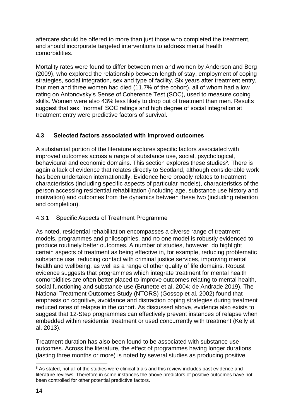aftercare should be offered to more than just those who completed the treatment, and should incorporate targeted interventions to address mental health comorbidities.

Mortality rates were found to differ between men and women by Anderson and Berg (2009), who explored the relationship between length of stay, employment of coping strategies, social integration, sex and type of facility. Six years after treatment entry, four men and three women had died (11.7% of the cohort), all of whom had a low rating on Antonovsky's Sense of Coherence Test (SOC), used to measure coping skills. Women were also 43% less likely to drop out of treatment than men. Results suggest that sex, 'normal' SOC ratings and high degree of social integration at treatment entry were predictive factors of survival.

## **4.3 Selected factors associated with improved outcomes**

A substantial portion of the literature explores specific factors associated with improved outcomes across a range of substance use, social, psychological, behavioural and economic domains. This section explores these studies<sup>5</sup>. There is again a lack of evidence that relates directly to Scotland, although considerable work has been undertaken internationally. Evidence here broadly relates to treatment characteristics (including specific aspects of particular models), characteristics of the person accessing residential rehabilitation (including age, substance use history and motivation) and outcomes from the dynamics between these two (including retention and completion).

## 4.3.1 Specific Aspects of Treatment Programme

As noted, residential rehabilitation encompasses a diverse range of treatment models, programmes and philosophies, and no one model is robustly evidenced to produce routinely better outcomes. A number of studies, however, do highlight certain aspects of treatment as being effective in, for example, reducing problematic substance use, reducing contact with criminal justice services, improving mental health and wellbeing, as well as a range of other quality of life domains. Robust evidence suggests that programmes which integrate treatment for mental health comorbidities are often better placed to improve outcomes relating to mental health, social functioning and substance use (Brunette et al. 2004; de Andrade 2019). The National Treatment Outcomes Study (NTORS) (Gossop et al. 2002) found that emphasis on cognitive, avoidance and distraction coping strategies during treatment reduced rates of relapse in the cohort. As discussed above, evidence also exists to suggest that 12-Step programmes can effectively prevent instances of relapse when embedded within residential treatment or used concurrently with treatment (Kelly et al. 2013).

Treatment duration has also been found to be associated with substance use outcomes. Across the literature, the effect of programmes having longer durations (lasting three months or more) is noted by several studies as producing positive

<sup>1</sup> <sup>5</sup> As stated, not all of the studies were clinical trials and this review includes past evidence and literature reviews. Therefore in some instances the above predictors of positive outcomes have not been controlled for other potential predictive factors.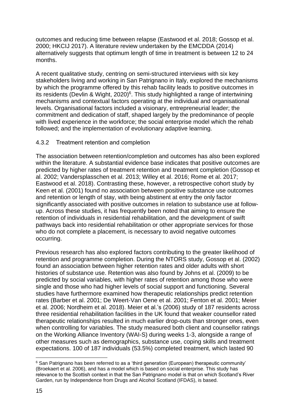outcomes and reducing time between relapse (Eastwood et al. 2018; Gossop et al. 2000; HKCIJ 2017). A literature review undertaken by the EMCDDA (2014) alternatively suggests that optimum length of time in treatment is between 12 to 24 months.

A recent qualitative study, centring on semi-structured interviews with six key stakeholders living and working in San Patrignano in Italy, explored the mechanisms by which the programme offered by this rehab facility leads to positive outcomes in its residents (Devlin & Wight, 2020) $6$ . This study highlighted a range of intertwining mechanisms and contextual factors operating at the individual and organisational levels. Organisational factors included a visionary, entrepreneurial leader; the commitment and dedication of staff, shaped largely by the predominance of people with lived experience in the workforce; the social enterprise model which the rehab followed; and the implementation of evolutionary adaptive learning.

#### 4.3.2 Treatment retention and completion

The association between retention/completion and outcomes has also been explored within the literature. A substantial evidence base indicates that positive outcomes are predicted by higher rates of treatment retention and treatment completion (Gossop et al. 2002; Vandersplasschen et al. 2013; Willey et al. 2016; Rome et al. 2017; Eastwood et al. 2018). Contrasting these, however, a retrospective cohort study by Keen et al. (2001) found no association between positive substance use outcomes and retention or length of stay, with being abstinent at entry the only factor significantly associated with positive outcomes in relation to substance use at followup. Across these studies, it has frequently been noted that aiming to ensure the retention of individuals in residential rehabilitation, and the development of swift pathways back into residential rehabilitation or other appropriate services for those who do not complete a placement, is necessary to avoid negative outcomes occurring.

Previous research has also explored factors contributing to the greater likelihood of retention and programme completion. During the NTORS study, Gossop et al. (2002) found an association between higher retention rates and older adults with short histories of substance use. Retention was also found by Johns et al. (2009) to be predicted by social variables, with higher rates of retention among those who were single and those who had higher levels of social support and functioning. Several studies have furthermore examined how therapeutic relationships predict retention rates (Barber et al. 2001; De Weert-Van Oene et al. 2001; Fenton et al. 2001; Meier et al. 2006; Nordheim et al. 2018). Meier et al.'s (2006) study of 187 residents across three residential rehabilitation facilities in the UK found that weaker counsellor rated therapeutic relationships resulted in much earlier drop-outs than stronger ones, even when controlling for variables. The study measured both client and counsellor ratings on the Working Alliance Inventory (WAI-S) during weeks 1-3, alongside a range of other measures such as demographics, substance use, coping skills and treatment expectations. 100 of 187 individuals (53.5%) completed treatment, which lasted 90

<sup>1</sup>  $6$  San Patrignano has been referred to as a 'third generation (European) therapeutic community' (Broekaert et al. 2006), and has a model which is based on social enterprise. This study has relevance to the Scottish context in that the San Patrignano model is that on which Scotland's River Garden, run by Independence from Drugs and Alcohol Scotland (IFDAS), is based.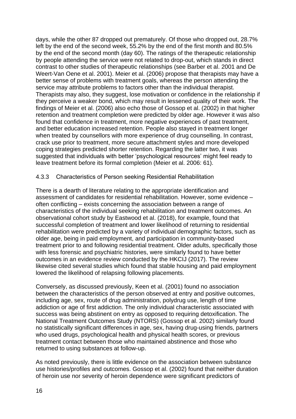days, while the other 87 dropped out prematurely. Of those who dropped out, 28.7% left by the end of the second week, 55.2% by the end of the first month and 80.5% by the end of the second month (day 60). The ratings of the therapeutic relationship by people attending the service were not related to drop-out, which stands in direct contrast to other studies of therapeutic relationships (see Barber et al. 2001 and De Weert-Van Oene et al. 2001). Meier et al. (2006) propose that therapists may have a better sense of problems with treatment goals, whereas the person attending the service may attribute problems to factors other than the individual therapist. Therapists may also, they suggest, lose motivation or confidence in the relationship if they perceive a weaker bond, which may result in lessened quality of their work. The findings of Meier et al. (2006) also echo those of Gossop et al. (2002) in that higher retention and treatment completion were predicted by older age. However it was also found that confidence in treatment, more negative experiences of past treatment, and better education increased retention. People also stayed in treatment longer when treated by counsellors with more experience of drug counselling. In contrast, crack use prior to treatment, more secure attachment styles and more developed coping strategies predicted shorter retention. Regarding the latter two, it was suggested that individuals with better 'psychological resources' might feel ready to leave treatment before its formal completion (Meier et al. 2006: 61).

#### 4.3.3 Characteristics of Person seeking Residential Rehabilitation

There is a dearth of literature relating to the appropriate identification and assessment of candidates for residential rehabilitation. However, some evidence – often conflicting – exists concerning the association between a range of characteristics of the individual seeking rehabilitation and treatment outcomes. An observational cohort study by Eastwood et al. (2018), for example, found that successful completion of treatment and lower likelihood of returning to residential rehabilitation were predicted by a variety of individual demographic factors, such as older age, being in paid employment, and participation in community-based treatment prior to and following residential treatment. Older adults, specifically those with less forensic and psychiatric histories, were similarly found to have better outcomes in an evidence review conducted by the HKCIJ (2017). The review likewise cited several studies which found that stable housing and paid employment lowered the likelihood of relapsing following placements.

Conversely, as discussed previously, Keen et al. (2001) found no association between the characteristics of the person observed at entry and positive outcomes, including age, sex, route of drug administration, polydrug use, length of time addiction or age of first addiction. The only individual characteristic associated with success was being abstinent on entry as opposed to requiring detoxification. The National Treatment Outcomes Study (NTORS) (Gossop et al. 2002) similarly found no statistically significant differences in age, sex, having drug-using friends, partners who used drugs, psychological health and physical health scores, or previous treatment contact between those who maintained abstinence and those who returned to using substances at follow-up.

As noted previously, there is little evidence on the association between substance use histories/profiles and outcomes. Gossop et al. (2002) found that neither duration of heroin use nor severity of heroin dependence were significant predictors of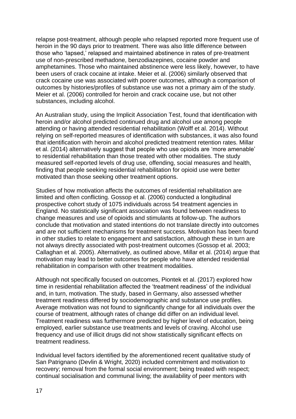relapse post-treatment, although people who relapsed reported more frequent use of heroin in the 90 days prior to treatment. There was also little difference between those who 'lapsed,' relapsed and maintained abstinence in rates of pre-treatment use of non-prescribed methadone, benzodiazepines, cocaine powder and amphetamines. Those who maintained abstinence were less likely, however, to have been users of crack cocaine at intake. Meier et al. (2006) similarly observed that crack cocaine use was associated with poorer outcomes, although a comparison of outcomes by histories/profiles of substance use was not a primary aim of the study. Meier et al. (2006) controlled for heroin and crack cocaine use, but not other substances, including alcohol.

An Australian study, using the Implicit Association Test, found that identification with heroin and/or alcohol predicted continued drug and alcohol use among people attending or having attended residential rehabilitation (Wolff et al. 2014). Without relying on self-reported measures of identification with substances, it was also found that identification with heroin and alcohol predicted treatment retention rates. Millar et al. (2014) alternatively suggest that people who use opioids are 'more amenable' to residential rehabilitation than those treated with other modalities. The study measured self-reported levels of drug use, offending, social measures and health, finding that people seeking residential rehabilitation for opioid use were better motivated than those seeking other treatment options.

Studies of how motivation affects the outcomes of residential rehabilitation are limited and often conflicting. Gossop et al. (2006) conducted a longitudinal prospective cohort study of 1075 individuals across 54 treatment agencies in England. No statistically significant association was found between readiness to change measures and use of opioids and stimulants at follow-up. The authors conclude that motivation and stated intentions do not translate directly into outcomes and are not sufficient mechanisms for treatment success. Motivation has been found in other studies to relate to engagement and satisfaction, although these in turn are not always directly associated with post-treatment outcomes (Gossop et al. 2003; Callaghan et al. 2005). Alternatively, as outlined above, Millar et al. (2014) argue that motivation may lead to better outcomes for people who have attended residential rehabilitation in comparison with other treatment modalities.

Although not specifically focused on outcomes, Piontek et al. (2017) explored how time in residential rehabilitation affected the 'treatment readiness' of the individual and, in turn, motivation. The study, based in Germany, also assessed whether treatment readiness differed by sociodemographic and substance use profiles. Average motivation was not found to significantly change for all individuals over the course of treatment, although rates of change did differ on an individual level. Treatment readiness was furthermore predicted by higher level of education, being employed, earlier substance use treatments and levels of craving. Alcohol use frequency and use of illicit drugs did not show statistically significant effects on treatment readiness.

Individual level factors identified by the aforementioned recent qualitative study of San Patrignano (Devlin & Wright, 2020) included commitment and motivation to recovery; removal from the formal social environment; being treated with respect; continual socialisation and communal living; the availability of peer mentors with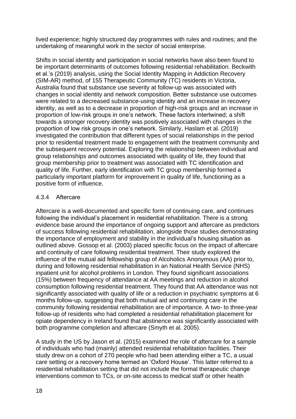lived experience; highly structured day programmes with rules and routines; and the undertaking of meaningful work in the sector of social enterprise.

Shifts in social identity and participation in social networks have also been found to be important determinants of outcomes following residential rehabilitation. Beckwith et al.'s (2019) analysis, using the Social Identity Mapping in Addiction Recovery (SIM-AR) method, of 155 Therapeutic Community (TC) residents in Victoria, Australia found that substance use severity at follow-up was associated with changes in social identity and network composition. Better substance use outcomes were related to a decreased substance-using identity and an increase in recovery identity, as well as to a decrease in proportion of high-risk groups and an increase in proportion of low-risk groups in one's network. These factors intertwined; a shift towards a stronger recovery identity was positively associated with changes in the proportion of low risk groups in one's network. Similarly, Haslam et al. (2019) investigated the contribution that different types of social relationships in the period prior to residential treatment made to engagement with the treatment community and the subsequent recovery potential. Exploring the relationship between individual and group relationships and outcomes associated with quality of life, they found that group membership prior to treatment was associated with TC identification and quality of life. Further, early identification with TC group membership formed a particularly important platform for improvement in quality of life, functioning as a positive form of influence.

#### 4.3.4 Aftercare

Aftercare is a well-documented and specific form of continuing care, and continues following the individual's placement in residential rehabilitation. There is a strong evidence base around the importance of ongoing support and aftercare as predictors of success following residential rehabilitation, alongside those studies demonstrating the importance of employment and stability in the individual's housing situation as outlined above. Gossop et al. (2003) placed specific focus on the impact of aftercare and continuity of care following residential treatment. Their study explored the influence of the mutual aid fellowship group of Alcoholics Anonymous (AA) prior to, during and following residential rehabilitation in an National Health Service (NHS) inpatient unit for alcohol problems in London. They found significant associations (15%) between frequency of attendance at AA meetings and reduction in alcohol consumption following residential treatment. They found that AA attendance was not significantly associated with quality of life or a reduction in psychiatric symptoms at 6 months follow-up, suggesting that both mutual aid and continuing care in the community following residential rehabilitation are of importance. A two- to three-year follow-up of residents who had completed a residential rehabilitation placement for opiate dependency in Ireland found that abstinence was significantly associated with both programme completion and aftercare (Smyth et al. 2005).

A study in the US by Jason et al. (2015) examined the role of aftercare for a sample of individuals who had (mainly) attended residential rehabilitation facilities. Their study drew on a cohort of 270 people who had been attending either a TC, a usual care setting or a recovery home termed an 'Oxford House'. This latter referred to a residential rehabilitation setting that did not include the formal therapeutic change interventions common to TCs, or on-site access to medical staff or other health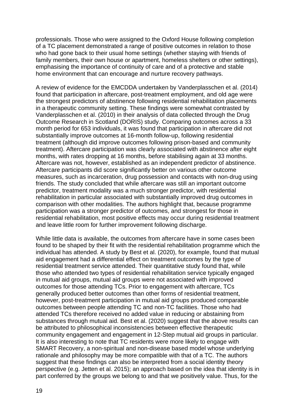professionals. Those who were assigned to the Oxford House following completion of a TC placement demonstrated a range of positive outcomes in relation to those who had gone back to their usual home settings (whether staying with friends of family members, their own house or apartment, homeless shelters or other settings), emphasising the importance of continuity of care and of a protective and stable home environment that can encourage and nurture recovery pathways.

A review of evidence for the EMCDDA undertaken by Vanderplasschen et al. (2014) found that participation in aftercare, post-treatment employment, and old age were the strongest predictors of abstinence following residential rehabilitation placements in a therapeutic community setting. These findings were somewhat contrasted by Vanderplasschen et al. (2010) in their analysis of data collected through the Drug Outcome Research in Scotland (DORIS) study. Comparing outcomes across a 33 month period for 653 individuals, it was found that participation in aftercare did not substantially improve outcomes at 16-month follow-up, following residential treatment (although did improve outcomes following prison-based and community treatment). Aftercare participation was clearly associated with abstinence after eight months, with rates dropping at 16 months, before stabilising again at 33 months. Aftercare was not, however, established as an independent predictor of abstinence. Aftercare participants did score significantly better on various other outcome measures, such as incarceration, drug possession and contacts with non-drug using friends. The study concluded that while aftercare was still an important outcome predictor, treatment modality was a much stronger predictor, with residential rehabilitation in particular associated with substantially improved drug outcomes in comparison with other modalities. The authors highlight that, because programme participation was a stronger predictor of outcomes, and strongest for those in residential rehabilitation, most positive effects may occur during residential treatment and leave little room for further improvement following discharge.

While little data is available, the outcomes from aftercare have in some cases been found to be shaped by their fit with the residential rehabilitation programme which the individual has attended. A study by Best et al. (2020), for example, found that mutual aid engagement had a differential effect on treatment outcomes by the type of residential treatment service attended. Their quantitative study found that, while those who attended two types of residential rehabilitation service typically engaged in mutual aid groups, mutual aid groups were not associated with improved outcomes for those attending TCs. Prior to engagement with aftercare, TCs generally produced better outcomes than other forms of residential treatment, however, post-treatment participation in mutual aid groups produced comparable outcomes between people attending TC and non-TC facilities. Those who had attended TCs therefore received no added value in reducing or abstaining from substances through mutual aid. Best et al. (2020) suggest that the above results can be attributed to philosophical inconsistencies between effective therapeutic community engagement and engagement in 12-Step mutual aid groups in particular. It is also interesting to note that TC residents were more likely to engage with SMART Recovery, a non-spiritual and non-disease based model whose underlying rationale and philosophy may be more compatible with that of a TC. The authors suggest that these findings can also be interpreted from a social identity theory perspective (e.g. Jetten et al. 2015); an approach based on the idea that identity is in part conferred by the groups we belong to and that we positively value. Thus, for the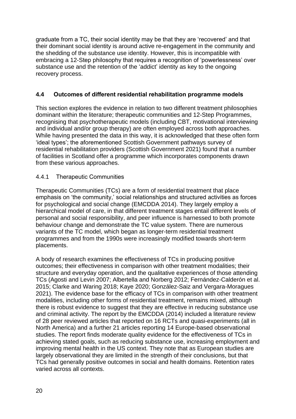graduate from a TC, their social identity may be that they are 'recovered' and that their dominant social identity is around active re-engagement in the community and the shedding of the substance use identity. However, this is incompatible with embracing a 12-Step philosophy that requires a recognition of 'powerlessness' over substance use and the retention of the 'addict' identity as key to the ongoing recovery process.

## **4.4 Outcomes of different residential rehabilitation programme models**

This section explores the evidence in relation to two different treatment philosophies dominant within the literature; therapeutic communities and 12-Step Programmes, recognising that psychotherapeutic models (including CBT, motivational interviewing and individual and/or group therapy) are often employed across both approaches. While having presented the data in this way, it is acknowledged that these often form 'ideal types'; the aforementioned Scottish Government pathways survey of residential rehabilitation providers (Scottish Government 2021) found that a number of facilities in Scotland offer a programme which incorporates components drawn from these various approaches.

## 4.4.1 Therapeutic Communities

Therapeutic Communities (TCs) are a form of residential treatment that place emphasis on 'the community,' social relationships and structured activities as forces for psychological and social change (EMCDDA 2014). They largely employ a hierarchical model of care, in that different treatment stages entail different levels of personal and social responsibility, and peer influence is harnessed to both promote behaviour change and demonstrate the TC value system. There are numerous variants of the TC model, which began as longer-term residential treatment programmes and from the 1990s were increasingly modified towards short-term placements.

A body of research examines the effectiveness of TCs in producing positive outcomes; their effectiveness in comparison with other treatment modalities; their structure and everyday operation, and the qualitative experiences of those attending TCs (Agosti and Levin 2007; Albertella and Norberg 2012; Fernández-Calderón et al. 2015; Clarke and Waring 2018; Kaye 2020; González-Saiz and Vergara-Moragues 2021). The evidence base for the efficacy of TCs in comparison with other treatment modalities, including other forms of residential treatment, remains mixed, although there is robust evidence to suggest that they are effective in reducing substance use and criminal activity. The report by the EMCDDA (2014) included a literature review of 28 peer reviewed articles that reported on 16 RCTs and quasi-experiments (all in North America) and a further 21 articles reporting 14 Europe-based observational studies. The report finds moderate quality evidence for the effectiveness of TCs in achieving stated goals, such as reducing substance use, increasing employment and improving mental health in the US context. They note that as European studies are largely observational they are limited in the strength of their conclusions, but that TCs had generally positive outcomes in social and health domains. Retention rates varied across all contexts.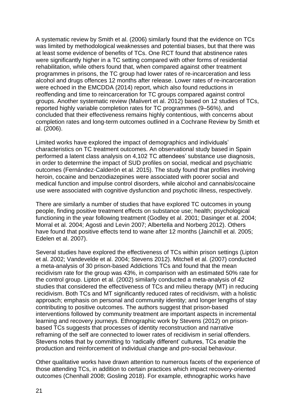A systematic review by Smith et al. (2006) similarly found that the evidence on TCs was limited by methodological weaknesses and potential biases, but that there was at least some evidence of benefits of TCs. One RCT found that abstinence rates were significantly higher in a TC setting compared with other forms of residential rehabilitation, while others found that, when compared against other treatment programmes in prisons, the TC group had lower rates of re-incarceration and less alcohol and drugs offences 12 months after release. Lower rates of re-incarceration were echoed in the EMCDDA (2014) report, which also found reductions in reoffending and time to reincarceration for TC groups compared against control groups. Another systematic review (Malivert et al. 2012) based on 12 studies of TCs, reported highly variable completion rates for TC programmes (9–56%), and concluded that their effectiveness remains highly contentious, with concerns about completion rates and long-term outcomes outlined in a Cochrane Review by Smith et al. (2006).

Limited works have explored the impact of demographics and individuals' characteristics on TC treatment outcomes. An observational study based in Spain performed a latent class analysis on 4,102 TC attendees' substance use diagnosis, in order to determine the impact of SUD profiles on social, medical and psychiatric outcomes (Fernández-Calderón et al. 2015). The study found that profiles involving heroin, cocaine and benzodiazepines were associated with poorer social and medical function and impulse control disorders, while alcohol and cannabis/cocaine use were associated with cognitive dysfunction and psychotic illness, respectively.

There are similarly a number of studies that have explored TC outcomes in young people, finding positive treatment effects on substance use; health; psychological functioning in the year following treatment (Godley et al. 2001; Dasinger et al. 2004; Morral et al. 2004; Agosti and Levin 2007; Albertella and Norberg 2012). Others have found that positive effects tend to wane after 12 months (Jainchill et al. 2005; Edelen et al. 2007).

Several studies have explored the effectiveness of TCs within prison settings (Lipton et al. 2002; Vandevelde et al. 2004; Stevens 2012). Mitchell et al. (2007) conducted a meta-analysis of 30 prison-based Addictions TCs and found that the mean recidivism rate for the group was 43%, in comparison with an estimated 50% rate for the control group. Lipton et al. (2002) similarly conducted a meta-analysis of 42 studies that considered the effectiveness of TCs and milieu therapy (MT) in reducing recidivism. Both TCs and MT significantly reduced rates of recidivism, with a holistic approach; emphasis on personal and community identity; and longer lengths of stay contributing to positive outcomes. The authors suggest that prison-based interventions followed by community treatment are important aspects in incremental learning and recovery journeys. Ethnographic work by Stevens (2012) on prisonbased TCs suggests that processes of identity reconstruction and narrative reframing of the self are connected to lower rates of recidivism in serial offenders. Stevens notes that by committing to 'radically different' cultures, TCs enable the production and reinforcement of individual change and pro-social behaviour.

Other qualitative works have drawn attention to numerous facets of the experience of those attending TCs, in addition to certain practices which impact recovery-oriented outcomes (Chenhall 2008; Gosling 2018). For example, ethnographic works have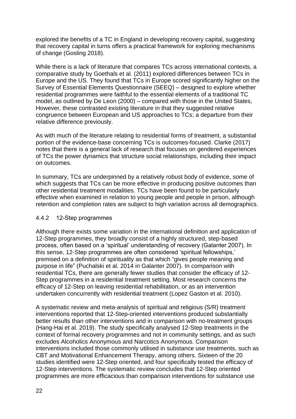explored the benefits of a TC in England in developing recovery capital, suggesting that recovery capital in turns offers a practical framework for exploring mechanisms of change (Gosling 2018).

While there is a lack of literature that compares TCs across international contexts, a comparative study by Goethals et al. (2011) explored differences between TCs in Europe and the US. They found that TCs in Europe scored significantly higher on the Survey of Essential Elements Questionnaire (SEEQ) – designed to explore whether residential programmes were faithful to the essential elements of a traditional TC model, as outlined by De Leon (2000) – compared with those in the United States, However, these contrasted existing literature in that they suggested relative congruence between European and US approaches to TCs; a departure from their relative difference previously.

As with much of the literature relating to residential forms of treatment, a substantial portion of the evidence-base concerning TCs is outcomes-focused. Clarke (2017) notes that there is a general lack of research that focuses on gendered experiences of TCs the power dynamics that structure social relationships, including their impact on outcomes.

In summary, TCs are underpinned by a relatively robust body of evidence, some of which suggests that TCs can be more effective in producing positive outcomes than other residential treatment modalities. TCs have been found to be particularly effective when examined in relation to young people and people in prison, although retention and completion rates are subject to high variation across all demographics.

#### 4.4.2 12-Step programmes

Although there exists some variation in the international definition and application of 12-Step programmes, they broadly consist of a highly structured, step-based process, often based on a 'spiritual' understanding of recovery (Galanter 2007). In this sense, 12-Step programmes are often considered 'spiritual fellowships,' premised on a definition of spirituality as that which "gives people meaning and purpose in life" (Puchalski et al. 2014 in Galanter 2007). In comparison with residential TCs, there are generally fewer studies that consider the efficacy of 12- Step programmes in a residential treatment setting. Most research concerns the efficacy of 12-Step on leaving residential rehabilitation, or as an intervention undertaken concurrently with residential treatment (Lopez Gaston et al. 2010).

A systematic review and meta-analysis of spiritual and religious (S/R) treatment interventions reported that 12-Step-oriented interventions produced substantially better results than other interventions and in comparison with no-treatment groups (Hang-Hai et al. 2019). The study specifically analysed 12-Step treatments in the context of formal recovery programmes and not in community settings, and as such excludes Alcoholics Anonymous and Narcotics Anonymous. Comparison interventions included those commonly utilised in substance use treatments, such as CBT and Motivational Enhancement Therapy, among others. Sixteen of the 20 studies identified were 12-Step oriented, and four specifically tested the efficacy of 12-Step interventions. The systematic review concludes that 12-Step oriented programmes are more efficacious than comparison interventions for substance use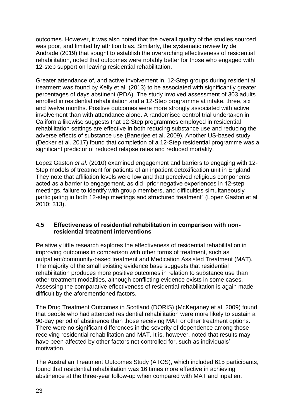outcomes. However, it was also noted that the overall quality of the studies sourced was poor, and limited by attrition bias. Similarly, the systematic review by de Andrade (2019) that sought to establish the overarching effectiveness of residential rehabilitation, noted that outcomes were notably better for those who engaged with 12-step support on leaving residential rehabilitation.

Greater attendance of, and active involvement in, 12-Step groups during residential treatment was found by Kelly et al. (2013) to be associated with significantly greater percentages of days abstinent (PDA). The study involved assessment of 303 adults enrolled in residential rehabilitation and a 12-Step programme at intake, three, six and twelve months. Positive outcomes were more strongly associated with active involvement than with attendance alone. A randomised control trial undertaken in California likewise suggests that 12-Step programmes employed in residential rehabilitation settings are effective in both reducing substance use and reducing the adverse effects of substance use (Banerjee et al. 2009). Another US-based study (Decker et al. 2017) found that completion of a 12-Step residential programme was a significant predictor of reduced relapse rates and reduced mortality.

Lopez Gaston *et al.* (2010) examined engagement and barriers to engaging with 12- Step models of treatment for patients of an inpatient detoxification unit in England. They note that affiliation levels were low and that perceived religious components acted as a barrier to engagement, as did "prior negative experiences in 12-step meetings, failure to identify with group members, and difficulties simultaneously participating in both 12-step meetings and structured treatment" (Lopez Gaston et al. 2010: 313).

#### **4.5 Effectiveness of residential rehabilitation in comparison with nonresidential treatment interventions**

Relatively little research explores the effectiveness of residential rehabilitation in improving outcomes in comparison with other forms of treatment, such as outpatient/community-based treatment and Medication Assisted Treatment (MAT). The majority of the small existing evidence base suggests that residential rehabilitation produces more positive outcomes in relation to substance use than other treatment modalities, although conflicting evidence exists in some cases. Assessing the comparative effectiveness of residential rehabilitation is again made difficult by the aforementioned factors.

The Drug Treatment Outcomes in Scotland (DORIS) (McKeganey et al. 2009) found that people who had attended residential rehabilitation were more likely to sustain a 90-day period of abstinence than those receiving MAT or other treatment options. There were no significant differences in the severity of dependence among those receiving residential rehabilitation and MAT. It is, however, noted that results may have been affected by other factors not controlled for, such as individuals' motivation.

The Australian Treatment Outcomes Study (ATOS), which included 615 participants, found that residential rehabilitation was 16 times more effective in achieving abstinence at the three-year follow-up when compared with MAT and inpatient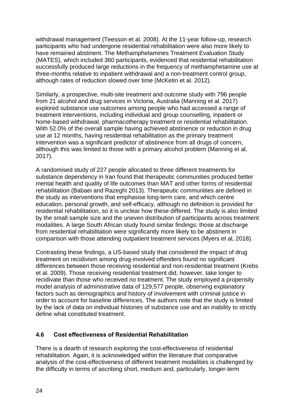withdrawal management (Teesson et al. 2008). At the 11-year follow-up, research participants who had undergone residential rehabilitation were also more likely to have remained abstinent. The Methamphetamines Treatment Evaluation Study (MATES), which included 360 participants, evidenced that residential rehabilitation successfully produced large reductions in the frequency of methamphetamine use at three-months relative to inpatient withdrawal and a non-treatment control group, although rates of reduction slowed over time (McKetin et al. 2012).

Similarly, a prospective, multi-site treatment and outcome study with 796 people from 21 alcohol and drug services in Victoria, Australia (Manning et al. 2017) explored substance use outcomes among people who had accessed a range of treatment interventions, including individual and group counselling, inpatient or home-based withdrawal, pharmacotherapy treatment or residential rehabilitation. With 52.0% of the overall sample having achieved abstinence or reduction in drug use at 12 months, having residential rehabilitation as the primary treatment intervention was a significant predictor of abstinence from all drugs of concern, although this was limited to those with a primary alcohol problem (Manning et al, 2017).

A randomised study of 227 people allocated to three different treatments for substance dependency in Iran found that therapeutic communities produced better mental health and quality of life outcomes than MAT and other forms of residential rehabilitation (Babaei and Razeghi 2013). Therapeutic communities are defined in the study as interventions that emphasise long-term care, and which centre education, personal growth, and self-efficacy, although no definition is provided for residential rehabilitation, so it is unclear how these differed. The study is also limited by the small sample size and the uneven distribution of participants across treatment modalities. A large South African study found similar findings; those at discharge from residential rehabilitation were significantly more likely to be abstinent in comparison with those attending outpatient treatment services (Myers et al, 2018).

Contrasting these findings, a US-based study that considered the impact of drug treatment on recidivism among drug-involved offenders found no significant differences between those receiving residential and non-residential treatment (Krebs et al. 2009). Those receiving residential treatment did, however, take longer to recidivate than those who received no treatment. The study employed a propensity model analysis of administrative data of 129,577 people, observing explanatory factors such as demographics and history of involvement with criminal justice in order to account for baseline differences. The authors note that the study is limited by the lack of data on individual histories of substance use and an inability to strictly define what constituted treatment.

## **4.6 Cost effectiveness of Residential Rehabilitation**

There is a dearth of research exploring the cost-effectiveness of residential rehabilitation. Again, it is acknowledged within the literature that comparative analysis of the cost-effectiveness of different treatment modalities is challenged by the difficulty in terms of ascribing short, medium and, particularly, longer-term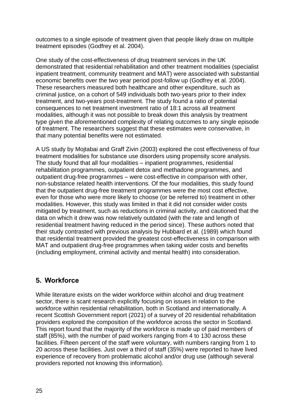outcomes to a single episode of treatment given that people likely draw on multiple treatment episodes (Godfrey et al. 2004).

One study of the cost-effectiveness of drug treatment services in the UK demonstrated that residential rehabilitation and other treatment modalities (specialist inpatient treatment, community treatment and MAT) were associated with substantial economic benefits over the two year period post-follow up (Godfrey et al. 2004). These researchers measured both healthcare and other expenditure, such as criminal justice, on a cohort of 549 individuals both two-years prior to their index treatment, and two-years post-treatment. The study found a ratio of potential consequences to net treatment investment ratio of 18:1 across all treatment modalities, although it was not possible to break down this analysis by treatment type given the aforementioned complexity of relating outcomes to any single episode of treatment. The researchers suggest that these estimates were conservative, in that many potential benefits were not estimated.

A US study by Mojtabai and Graff Zivin (2003) explored the cost effectiveness of four treatment modalities for substance use disorders using propensity score analysis. The study found that all four modalities – inpatient programmes, residential rehabilitation programmes, outpatient detox and methadone programmes, and outpatient drug-free programmes – were cost-effective in comparison with other, non-substance related health interventions. Of the four modalities, this study found that the outpatient drug-free treatment programmes were the most cost effective, even for those who were more likely to choose (or be referred to) treatment in other modalities. However, this study was limited in that it did not consider wider costs mitigated by treatment, such as reductions in criminal activity, and cautioned that the data on which it drew was now relatively outdated (with the rate and length of residential treatment having reduced in the period since). These authors noted that their study contrasted with previous analysis by Hubbard et al. (1989) which found that residential treatment provided the greatest cost-effectiveness in comparison with MAT and outpatient drug-free programmes when taking wider costs and benefits (including employment, criminal activity and mental health) into consideration.

# **5. Workforce**

While literature exists on the wider workforce within alcohol and drug treatment sector, there is scant research explicitly focusing on issues in relation to the workforce within residential rehabilitation, both in Scotland and internationally. A recent Scottish Government report (2021) of a survey of 20 residential rehabilitation providers explored the composition of the workforce across the sector in Scotland. This report found that the majority of the workforce is made up of paid members of staff (85%), with the number of paid workers ranging from 4 to 130 across these facilities. Fifteen percent of the staff were voluntary, with numbers ranging from 1 to 20 across these facilities. Just over a third of staff (35%) were reported to have lived experience of recovery from problematic alcohol and/or drug use (although several providers reported not knowing this information).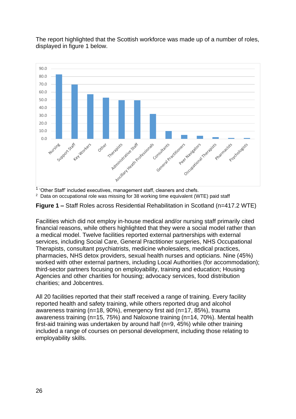

The report highlighted that the Scottish workforce was made up of a number of roles, displayed in figure 1 below.

 $1$  'Other Staff' included executives, management staff, cleaners and chefs.

 $2$  Data on occupational role was missing for 38 working time equivalent (WTE) paid staff



Facilities which did not employ in-house medical and/or nursing staff primarily cited financial reasons, while others highlighted that they were a social model rather than a medical model. Twelve facilities reported external partnerships with external services, including Social Care, General Practitioner surgeries, NHS Occupational Therapists, consultant psychiatrists, medicine wholesalers, medical practices, pharmacies, NHS detox providers, sexual health nurses and opticians. Nine (45%) worked with other external partners, including Local Authorities (for accommodation); third-sector partners focusing on employability, training and education; Housing Agencies and other charities for housing; advocacy services, food distribution charities; and Jobcentres.

All 20 facilities reported that their staff received a range of training. Every facility reported health and safety training, while others reported drug and alcohol awareness training (n=18, 90%), emergency first aid (n=17, 85%), trauma awareness training (n=15, 75%) and Naloxone training (n=14, 70%). Mental health first-aid training was undertaken by around half (n=9, 45%) while other training included a range of courses on personal development, including those relating to employability skills.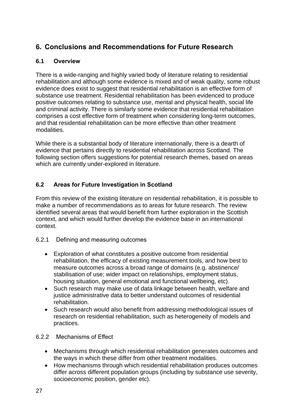# **6. Conclusions and Recommendations for Future Research**

# **6.1 Overview**

There is a wide-ranging and highly varied body of literature relating to residential rehabilitation and although some evidence is mixed and of weak quality, some robust evidence does exist to suggest that residential rehabilitation is an effective form of substance use treatment. Residential rehabilitation has been evidenced to produce positive outcomes relating to substance use, mental and physical health, social life and criminal activity. There is similarly some evidence that residential rehabilitation comprises a cost effective form of treatment when considering long-term outcomes, and that residential rehabilitation can be more effective than other treatment modalities.

While there is a substantial body of literature internationally, there is a dearth of evidence that pertains directly to residential rehabilitation across Scotland. The following section offers suggestions for potential research themes, based on areas which are currently under-explored in literature.

# **6.2 Areas for Future Investigation in Scotland**

From this review of the existing literature on residential rehabilitation, it is possible to make a number of recommendations as to areas for future research. The review identified several areas that would benefit from further exploration in the Scottish context, and which would further develop the evidence base in an international context.

## 6.2.1 Defining and measuring outcomes

- Exploration of what constitutes a positive outcome from residential rehabilitation, the efficacy of existing measurement tools, and how best to measure outcomes across a broad range of domains (e.g. abstinence/ stabilisation of use; wider impact on relationships, employment status, housing situation, general emotional and functional wellbeing, etc).
- Such research may make use of data linkage between health, welfare and justice administrative data to better understand outcomes of residential rehabilitation.
- Such research would also benefit from addressing methodological issues of research on residential rehabilitation, such as heterogeneity of models and practices.

## 6.2.2 Mechanisms of Effect

- Mechanisms through which residential rehabilitation generates outcomes and the ways in which these differ from other treatment modalities.
- How mechanisms through which residential rehabilitation produces outcomes differ across different population groups (including by substance use severity, socioeconomic position, gender etc).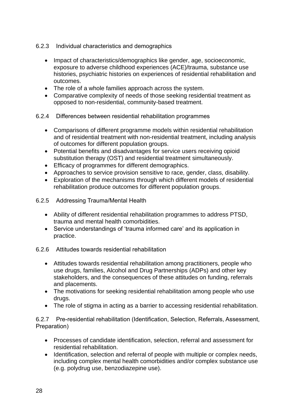- 6.2.3 Individual characteristics and demographics
	- Impact of characteristics/demographics like gender, age, socioeconomic, exposure to adverse childhood experiences (ACE)/trauma, substance use histories, psychiatric histories on experiences of residential rehabilitation and outcomes.
	- The role of a whole families approach across the system.
	- Comparative complexity of needs of those seeking residential treatment as opposed to non-residential, community-based treatment.
- 6.2.4 Differences between residential rehabilitation programmes
	- Comparisons of different programme models within residential rehabilitation and of residential treatment with non-residential treatment, including analysis of outcomes for different population groups.
	- Potential benefits and disadvantages for service users receiving opioid substitution therapy (OST) and residential treatment simultaneously.
	- Efficacy of programmes for different demographics.
	- Approaches to service provision sensitive to race, gender, class, disability.
	- Exploration of the mechanisms through which different models of residential rehabilitation produce outcomes for different population groups.
- 6.2.5 Addressing Trauma/Mental Health
	- Ability of different residential rehabilitation programmes to address PTSD, trauma and mental health comorbidities.
	- Service understandings of 'trauma informed care' and its application in practice.
- 6.2.6 Attitudes towards residential rehabilitation
	- Attitudes towards residential rehabilitation among practitioners, people who use drugs, families, Alcohol and Drug Partnerships (ADPs) and other key stakeholders, and the consequences of these attitudes on funding, referrals and placements.
	- The motivations for seeking residential rehabilitation among people who use drugs.
	- The role of stigma in acting as a barrier to accessing residential rehabilitation.

6.2.7 Pre-residential rehabilitation (Identification, Selection, Referrals, Assessment, Preparation)

- Processes of candidate identification, selection, referral and assessment for residential rehabilitation.
- Identification, selection and referral of people with multiple or complex needs, including complex mental health comorbidities and/or complex substance use (e.g. polydrug use, benzodiazepine use).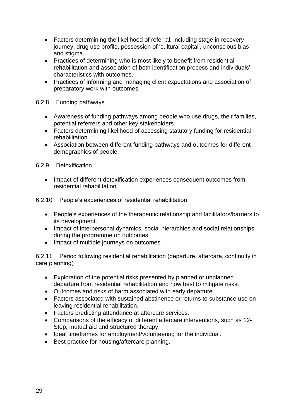- Factors determining the likelihood of referral, including stage in recovery journey, drug use profile, possession of 'cultural capital', unconscious bias and stigma.
- Practices of determining who is most likely to benefit from residential rehabilitation and association of both identification process and individuals' characteristics with outcomes.
- Practices of informing and managing client expectations and association of preparatory work with outcomes.

#### 6.2.8 Funding pathways

- Awareness of funding pathways among people who use drugs, their families, potential referrers and other key stakeholders.
- Factors determining likelihood of accessing statutory funding for residential rehabilitation.
- Association between different funding pathways and outcomes for different demographics of people.
- 6.2.9 Detoxification
	- Impact of different detoxification experiences consequent outcomes from residential rehabilitation.
- 6.2.10 People's experiences of residential rehabilitation
	- People's experiences of the therapeutic relationship and facilitators/barriers to its development.
	- Impact of interpersonal dynamics, social hierarchies and social relationships during the programme on outcomes.
	- Impact of multiple journeys on outcomes.

6.2.11 Period following residential rehabilitation (departure, aftercare, continuity in care planning)

- Exploration of the potential risks presented by planned or unplanned departure from residential rehabilitation and how best to mitigate risks.
- Outcomes and risks of harm associated with early departure.
- Factors associated with sustained abstinence or returns to substance use on leaving residential rehabilitation.
- Factors predicting attendance at aftercare services.
- Comparisons of the efficacy of different aftercare interventions, such as 12- Step, mutual aid and structured therapy.
- Ideal timeframes for employment/volunteering for the individual.
- Best practice for housing/aftercare planning.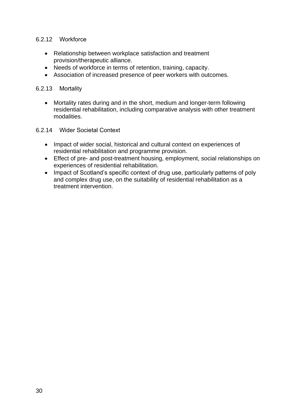#### 6.2.12 Workforce

- Relationship between workplace satisfaction and treatment provision/therapeutic alliance.
- Needs of workforce in terms of retention, training, capacity.
- Association of increased presence of peer workers with outcomes.

#### 6.2.13 Mortality

- Mortality rates during and in the short, medium and longer-term following residential rehabilitation, including comparative analysis with other treatment modalities.
- 6.2.14 Wider Societal Context
	- Impact of wider social, historical and cultural context on experiences of residential rehabilitation and programme provision.
	- Effect of pre- and post-treatment housing, employment, social relationships on experiences of residential rehabilitation.
	- Impact of Scotland's specific context of drug use, particularly patterns of poly and complex drug use, on the suitability of residential rehabilitation as a treatment intervention.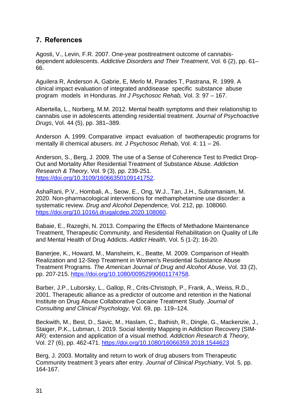# **7. References**

Agosti, V., Levin, F.R. 2007. One-year posttreatment outcome of cannabisdependent adolescents. *Addictive Disorders and Their Treatment*, Vol. 6 (2), pp. 61– 66.

Aguilera R, Anderson A, Gabrie, E, Merlo M, Parades T, Pastrana, R. 1999. A clinical impact evaluation of integrated anddisease specific substance abuse program models in Honduras. *Int J Psychosoc Rehab,* Vol. 3: 97 – 167.

Albertella, L., Norberg, M.M. 2012. Mental health symptoms and their relationship to cannabis use in adolescents attending residential treatment. *Journal of Psychoactive Drugs*, Vol. 44 (5), pp. 381–389.

Anderson A. 1999. Comparative impact evaluation of twotherapeutic programs for mentally ill chemical abusers. *Int. J Psychosoc Rehab,* Vol. 4: 11 – 26.

Anderson, S., Berg, J. 2009. The use of a Sense of Coherence Test to Predict Drop-Out and Mortality After Residential Treatment of Substance Abuse. *Addiction Research & Theory*, Vol. 9 (3), pp. 239-251. [https://doi.org/10.3109/16066350109141752.](https://doi.org/10.3109/16066350109141752)

AshaRani, P.V., Hombali, A., Seow, E., Ong, W.J., Tan, J.H., Subramaniam, M. 2020. Non-pharmacological interventions for methamphetamine use disorder: a systematic review. *Drug and Alcohol Dependence,* Vol. 212, pp. 108060. [https://doi.org/10.1016/j.drugalcdep.2020.108060.](https://doi.org/10.1016/j.drugalcdep.2020.108060)

Babaie, E., Razeghi, N. 2013. Comparing the Effects of Methadone Maintenance Treatment, Therapeutic Community, and Residential Rehabilitation on Quality of Life and Mental Health of Drug Addicts. *Addict Health*, Vol. 5 (1-2): 16-20.

Banerjee, K., Howard, M., Mansheim, K., Beatte, M. 2009. Comparison of Health Realization and 12-Step Treatment in Women's Residential Substance Abuse Treatment Programs. *The American Journal of Drug and Alcohol Abuse*, Vol. 33 (2), pp. 207-215. [https://doi.org/10.1080/00952990601174758.](https://doi.org/10.1080/00952990601174758)

Barber, J.P., Luborsky, L., Gallop, R., Crits-Christoph, P., Frank, A., Weiss, R.D., 2001. Therapeutic alliance as a predictor of outcome and retention in the National Institute on Drug Abuse Collaborative Cocaine Treatment Study. *Journal of Consulting and Clinical Psychology,* Vol. 69, pp. 119–124.

Beckwith, M., Best, D., Savic, M., Haslam, C., Bathish, R., Dingle, G., Mackenzie, J., Staiger, P.K., Lubman, I. 2019. Social Identity Mapping in Addiction Recovery (SIM-AR): extension and application of a visual method. *Addiction Research & Theory,*  Vol. 27 (6), pp. 462-471. <https://doi.org/10.1080/16066359.2018.1544623>

Berg, J. 2003. Mortality and return to work of drug abusers from Therapeutic Community treatment 3 years after entry. *Journal of Clinical Psychiatry*, Vol. 5, pp. 164-167.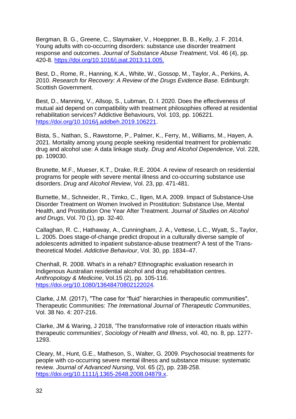Bergman, B. G., Greene, C., Slaymaker, V., Hoeppner, B. B., Kelly, J. F. 2014. Young adults with co-occurring disorders: substance use disorder treatment response and outcomes. *Journal of Substance Abuse Treatment*, Vol. 46 (4), pp. 420-8. [https://doi.org/10.1016/j.jsat.2013.11.005.](https://doi.org/10.1016/j.jsat.2013.11.005)

Best, D., Rome, R., Hanning, K.A., White, W., Gossop, M., Taylor, A., Perkins, A. 2010. *Research for Recovery: A Review of the Drugs Evidence Base.* Edinburgh: Scottish Government.

Best, D., Manning, V., Allsop, S., Lubman, D. I. 2020. Does the effectiveness of mutual aid depend on compatibility with treatment philosophies offered at residential rehabilitation services? Addictive Behaviours, Vol. 103, pp. 106221. [https://doi.org/10.1016/j.addbeh.2019.106221.](https://doi.org/10.1016/j.addbeh.2019.106221)

Bista, S., Nathan, S., Rawstorne, P., Palmer, K., Ferry, M., Williams, M., Hayen, A. 2021. Mortality among young people seeking residential treatment for problematic drug and alcohol use: A data linkage study. *Drug and Alcohol Dependence*, Vol. 228, pp. 109030.

Brunette, M.F., Mueser, K.T., Drake, R.E. 2004. A review of research on residential programs for people with severe mental illness and co-occurring substance use disorders. *Drug and Alcohol Review*, Vol. 23, pp. 471-481.

Burnette, M., Schneider, R., Timko, C., Ilgen, M.A. 2009. Impact of Substance-Use Disorder Treatment on Women Involved in Prostitution: Substance Use, Mental Health, and Prostitution One Year After Treatment. *Journal of Studies on Alcohol and Drugs*, Vol. 70 (1), pp. 32-40.

Callaghan, R. C., Hathaway, A., Cunningham, J. A., Vettese, L.C., Wyatt, S., Taylor, L. 2005. Does stage-of-change predict dropout in a culturally diverse sample of adolescents admitted to inpatient substance-abuse treatment? A test of the Transtheoretical Model. *Addictive Behaviour*, Vol. 30, pp. 1834–47.

Chenhall, R. 2008. What's in a rehab? Ethnographic evaluation research in Indigenous Australian residential alcohol and drug rehabilitation centres. *Anthropology & Medicine*, Vol.15 (2), pp. 105-116. [https://doi.org/10.1080/13648470802122024.](https://doi.org/10.1080/13648470802122024)

Clarke, J.M. (2017), "The case for "fluid" hierarchies in therapeutic communities", Therapeutic Communities: *The International Journal of Therapeutic Communities*, Vol. 38 No. 4: 207-216.

Clarke, JM & Waring, J 2018, 'The transformative role of interaction rituals within therapeutic communities', *Sociology of Health and Illness*, vol. 40, no. 8, pp. 1277- 1293.

Cleary, M., Hunt, G.E., Matheson, S., Walter, G. 2009. Psychosocial treatments for people with co-occurring severe mental illness and substance misuse: systematic review. *Journal of Advanced Nursing*, Vol. 65 (2), pp. 238-258. [https://doi.org/10.1111/j.1365-2648.2008.04879.x.](https://doi.org/10.1111/j.1365-2648.2008.04879.x)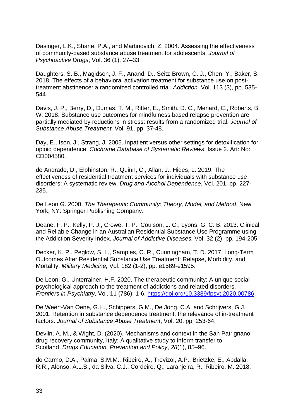Dasinger, L.K., Shane, P.A., and Martinovich, Z. 2004. Assessing the effectiveness of community-based substance abuse treatment for adolescents. *Journal of Psychoactive Drugs*, Vol. 36 (1), 27–33.

Daughters, S. B., Magidson, J. F., Anand, D., Seitz-Brown, C. J., Chen, Y., Baker, S. 2018. The effects of a behavioral activation treatment for substance use on posttreatment abstinence: a randomized controlled trial. *Addiction,* Vol. 113 (3), pp. 535- 544.

Davis, J. P., Berry, D., Dumas, T. M., Ritter, E., Smith, D. C., Menard, C., Roberts, B. W. 2018. Substance use outcomes for mindfulness based relapse prevention are partially mediated by reductions in stress: results from a randomized trial. *Journal of Substance Abuse Treatment,* Vol. 91, pp. 37-48.

Day, E., Ison, J., Strang, J. 2005. Inpatient versus other settings for detoxification for opioid dependence. *Cochrane Database of Systematic Reviews*. Issue 2. Art: No: CD004580.

de Andrade, D., Elphinston, R., Quinn, C., Allan, J., Hides, L. 2019. The effectiveness of residential treatment services for individuals with substance use disorders: A systematic review. *Drug and Alcohol Dependence*, Vol. 201, pp. 227- 235.

De Leon G. 2000, *The Therapeutic Community: Theory, Model, and Method*. New York, NY: Springer Publishing Company.

Deane, F. P., Kelly, P. J., Crowe, T. P., Coulson, J. C., Lyons, G. C. B. 2013. Clinical and Reliable Change in an Australian Residential Substance Use Programme using the Addiction Severity Index. *Journal of Addictive Diseases,* Vol. 32 (2), pp. 194-205.

Decker, K. P., Peglow, S. L., Samples, C. R., Cunningham, T. D. 2017. Long-Term Outcomes After Residential Substance Use Treatment: Relapse, Morbidity, and Mortality. *Military Medicine,* Vol. 182 (1-2), pp. e1589-e1595.

De Leon, G., Unterrainer, H.F. 2020. The therapeutic community: A unique social psychological approach to the treatment of addictions and related disorders. *Frontiers in Psychiatry*, Vol. 11 (786): 1-6. [https://doi.org/10.3389/fpsyt.2020.00786.](https://doi.org/10.3389/fpsyt.2020.00786)

De Weert-Van Oene, G.H., Schippers, G.M., De Jong, C.A. and Schrijvers, G.J. 2001. Retention in substance dependence treatment: the relevance of in-treatment factors. *Journal of Substance Abuse Treatment*, Vol. 20, pp. 253-64.

Devlin, A. M., & Wight, D. (2020). Mechanisms and context in the San Patrignano drug recovery community, Italy: A qualitative study to inform transfer to Scotland. *Drugs Education, Prevention and Policy*, *28*(1), 85–96.

do Carmo, D.A., Palma, S.M.M., Ribeiro, A., Trevizol, A.P., Brietzke, E., Abdalla, R.R., Alonso, A.L.S., da Silva, C.J., Cordeiro, Q., Laranjeira, R., Ribeiro, M. 2018.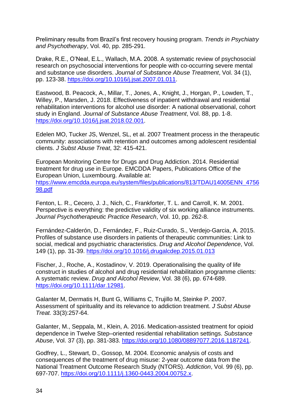Preliminary results from Brazil's first recovery housing program. *Trends in Psychiatry and Psychotherapy*, Vol. 40, pp. 285-291.

Drake, R.E., O'Neal, E.L., Wallach, M.A. 2008. A systematic review of psychosocial research on psychosocial interventions for people with co-occurring severe mental and substance use disorders. *Journal of Substance Abuse Treatment*, Vol. 34 (1), pp. 123-38. [https://doi.org/10.1016/j.jsat.2007.01.011.](https://doi.org/10.1016/j.jsat.2007.01.011)

Eastwood, B. Peacock, A., Millar, T., Jones, A., Knight, J., Horgan, P., Lowden, T., Willey, P., Marsden, J. 2018. Effectiveness of inpatient withdrawal and residential rehabilitation interventions for alcohol use disorder: A national observational, cohort study in England. *Journal of Substance Abuse Treatment*, Vol. 88, pp. 1-8. [https://doi.org/10.1016/j.jsat.2018.02.001.](https://doi.org/10.1016/j.jsat.2018.02.001)

Edelen MO, Tucker JS, Wenzel, SL, et al. 2007 Treatment process in the therapeutic community: associations with retention and outcomes among adolescent residential clients. *J Subst Abuse Treat*, 32: 415-421.

European Monitoring Centre for Drugs and Drug Addiction. 2014. Residential treatment for drug use in Europe. EMCDDA Papers, Publications Office of the European Union, Luxembourg. Available at: [https://www.emcdda.europa.eu/system/files/publications/813/TDAU14005ENN\\_4756](https://www.emcdda.europa.eu/system/files/publications/813/TDAU14005ENN_475698.pdf) [98.pdf](https://www.emcdda.europa.eu/system/files/publications/813/TDAU14005ENN_475698.pdf)

Fenton, L. R., Cecero, J. J., Nich, C., Frankforter, T. L. and Carroll, K. M. 2001. Perspective is everything: the predictive validity of six working alliance instruments. *Journal Psychotherapeutic Practice Research*, Vol. 10, pp. 262-8.

Fernández-Calderón, D., Fernández, F., Ruiz-Curado, S., Verdejo-Garcia, A. 2015. Profiles of substance use disorders in patients of therapeutic communities: Link to social, medical and psychiatric characteristics. *Drug and Alcohol Dependence*, Vol. 149 (1), pp. 31-39.<https://doi.org/10.1016/j.drugalcdep.2015.01.013>

Fischer, J., Roche, A., Kostadinov, V. 2019. Operationalising the quality of life construct in studies of alcohol and drug residential rehabilitation programme clients: A systematic review. *Drug and Alcohol Review*, Vol. 38 (6), pp. 674-689. [https://doi.org/10.1111/dar.12981.](https://doi.org/10.1111/dar.12981)

Galanter M, Dermatis H, Bunt G, Williams C, Trujillo M, Steinke P. 2007. Assessment of spirituality and its relevance to addiction treatment. *J Subst Abuse Treat.* 33(3):257-64.

Galanter, M., Seppala, M., Klein, A. 2016. Medication-assisted treatment for opioid dependence in Twelve Step–oriented residential rehabilitation settings. *Substance Abuse*, Vol. 37 (3), pp. 381-383. [https://doi.org/10.1080/08897077.2016.1187241.](https://doi.org/10.1080/08897077.2016.1187241)

Godfrey, L., Stewart, D., Gossop, M. 2004. Economic analysis of costs and consequences of the treatment of drug misuse: 2-year outcome data from the National Treatment Outcome Research Study (NTORS). *Addiction*, Vol. 99 (6), pp. 697-707. [https://doi.org/10.1111/j.1360-0443.2004.00752.x.](https://doi.org/10.1111/j.1360-0443.2004.00752.x)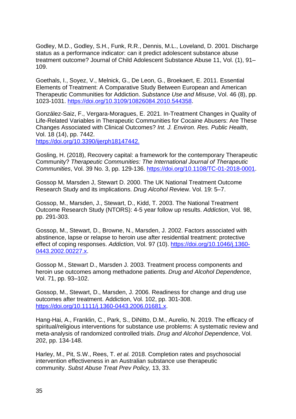Godley, M.D., Godley, S.H., Funk, R.R., Dennis, M.L., Loveland, D. 2001. Discharge status as a performance indicator: can it predict adolescent substance abuse treatment outcome? Journal of Child Adolescent Substance Abuse 11, Vol. (1), 91– 109.

Goethals, I., Soyez, V., Melnick, G., De Leon, G., Broekaert, E. 2011. Essential Elements of Treatment: A Comparative Study Between European and American Therapeutic Communities for Addiction. *Substance Use and Misuse*, Vol. 46 (8), pp. 1023-1031. [https://doi.org/10.3109/10826084.2010.544358.](https://doi.org/10.3109/10826084.2010.544358)

González-Saiz, F., Vergara-Moragues, E. 2021. In-Treatment Changes in Quality of Life-Related Variables in Therapeutic Communities for Cocaine Abusers: Are These Changes Associated with Clinical Outcomes? *Int. J. Environ. Res. Public Health*, Vol. 18 (14), pp. 7442. [https://doi.org/10.3390/ijerph18147442.](https://doi.org/10.3390/ijerph18147442)

Gosling, H. (2018), Recovery capital: a framework for the contemporary Therapeutic Community? *Therapeutic Communities: The International Journal of Therapeutic Communities*, Vol. 39 No. 3, pp. 129-136. [https://doi.org/10.1108/TC-01-2018-0001.](https://doi.org/10.1108/TC-01-2018-0001)

Gossop M, Marsden J, Stewart D. 2000. The UK National Treatment Outcome Research Study and its implications. *Drug Alcohol Rev*iew. Vol. 19: 5–7.

Gossop, M., Marsden, J., Stewart, D., Kidd, T. 2003. The National Treatment Outcome Research Study (NTORS): 4-5 year follow up results. *Addiction*, Vol. 98, pp. 291-303.

Gossop, M., Stewart, D., Browne, N., Marsden, J. 2002. Factors associated with abstinence, lapse or relapse to heroin use after residential treatment: protective effect of coping responses. *Addiction*, Vol. 97 (10). [https://doi.org/10.1046/j.1360-](https://doi.org/10.1046/j.1360-0443.2002.00227.x) [0443.2002.00227.x.](https://doi.org/10.1046/j.1360-0443.2002.00227.x)

Gossop M., Stewart D., Marsden J. 2003. Treatment process components and heroin use outcomes among methadone patients. *Drug and Alcohol Dependence*, Vol. 71, pp. 93–102.

Gossop, M., Stewart, D., Marsden, J. 2006. Readiness for change and drug use outcomes after treatment. Addiction, Vol. 102, pp. 301-308. [https://doi.org/10.1111/j.1360-0443.2006.01681.x.](https://doi.org/10.1111/j.1360-0443.2006.01681.x)

Hang-Hai, A., Franklin, C., Park, S., DiNitto, D.M., Aurelio, N. 2019. The efficacy of spiritual/religious interventions for substance use problems: A systematic review and meta-analysis of randomized controlled trials. *Drug and Alcohol Dependence*, Vol. 202, pp. 134-148.

Harley, M., Pit, S.W., Rees, T. *et al.* 2018. Completion rates and psychosocial intervention effectiveness in an Australian substance use therapeutic community. *Subst Abuse Treat Prev Policy,* 13, 33.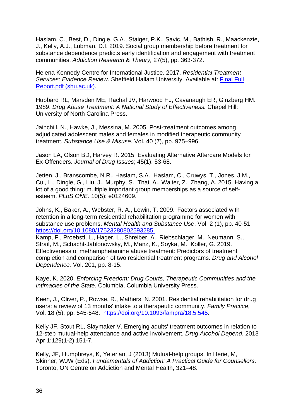Haslam, C., Best, D., Dingle, G.A., Staiger, P.K., Savic, M., Bathish, R., Maackenzie, J., Kelly, A.J., Lubman, D.I. 2019. Social group membership before treatment for substance dependence predicts early identification and engagement with treatment communities. *Addiction Research & Theory,* 27(5), pp. 363-372.

Helena Kennedy Centre for International Justice. 2017. *Residential Treatment Services: Evidence Review*. Sheffield Hallam University. Available at: [Final Full](https://www4.shu.ac.uk/mediacentre/sites/c3ri/files/Final%20Full%20Report.pdf)  [Report.pdf \(shu.ac.uk\).](https://www4.shu.ac.uk/mediacentre/sites/c3ri/files/Final%20Full%20Report.pdf)

Hubbard RL, Marsden ME, Rachal JV, Harwood HJ, Cavanaugh ER, Ginzberg HM. 1989. *Drug Abuse Treatment: A National Study of Effectiveness.* Chapel Hill: University of North Carolina Press.

Jainchill, N., Hawke, J., Messina, M. 2005. Post-treatment outcomes among adjudicated adolescent males and females in modified therapeutic community treatment. *Substance Use & Misuse*, Vol. 40 (7), pp. 975–996.

Jason LA, Olson BD, Harvey R. 2015. Evaluating Alternative Aftercare Models for Ex-Offenders. *Journal of Drug Issues*; 45(1): 53-68.

Jetten, J., Branscombe, N.R., Haslam, S.A., Haslam, C., Cruwys, T., Jones, J.M., Cul, L., Dingle, G., Liu, J., Murphy, S., Thai, A., Walter, Z., Zhang, A. 2015. Having a lot of a good thing: multiple important group memberships as a source of selfesteem. *PLoS ONE*. 10(5): e0124609.

Johns, K., Baker, A., Webster, R. A., Lewin, T. 2009. Factors associated with retention in a long-term residential rehabilitation programme for women with substance use problems. *Mental Health and Substance Use*, Vol. 2 (1), pp. 40-51. [https://doi.org/10.1080/17523280802593285.](https://doi.org/10.1080/17523280802593285)

Kamp, F., Proebstl, L., Hager, L., Shreiber, A., Riebschlager, M., Neumann, S., Straif, M., Schacht-Jablonowsky, M., Manz, K., Soyka, M., Koller, G. 2019. Effectiveness of methamphetamine abuse treatment: Predictors of treatment completion and comparison of two residential treatment programs. *Drug and Alcohol Dependence,* Vol. 201, pp. 8-15.

Kaye, K. 2020. *Enforcing Freedom: Drug Courts, Therapeutic Communities and the Intimacies of the State*. Columbia, Columbia University Press.

Keen, J., Oliver, P., Rowse, R., Mathers, N. 2001. Residential rehabilitation for drug users: a review of 13 months' intake to a therapeutic community. *Family Practice*, Vol. 18 (5), pp. 545-548. [https://doi.org/10.1093/fampra/18.5.545.](https://doi.org/10.1093/fampra/18.5.545)

Kelly JF, Stout RL, Slaymaker V. Emerging adults' treatment outcomes in relation to 12-step mutual-help attendance and active involvement. *Drug Alcohol Depend*. 2013 Apr 1;129(1-2):151-7.

Kelly, JF, Humphreys, K, Yeterian, J (2013) Mutual-help groups. In Herie, M, Skinner, WJW (Eds). *Fundamentals of Addiction: A Practical Guide for Counsellors*. Toronto, ON Centre on Addiction and Mental Health, 321–48.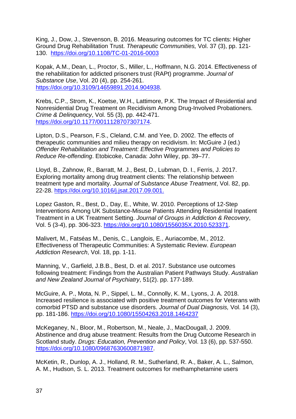King, J., Dow, J., Stevenson, B. 2016. Measuring outcomes for TC clients: Higher Ground Drug Rehabilitation Trust. *Therapeutic Communities,* Vol. 37 (3), pp. 121- 130. <https://doi.org/10.1108/TC-01-2016-0003>

Kopak, A.M., Dean, L., Proctor, S., Miller, L., Hoffmann, N.G. 2014. Effectiveness of the rehabilitation for addicted prisoners trust (RAPt) programme. *Journal of Substance Use*, Vol. 20 (4), pp. 254-261. [https://doi.org/10.3109/14659891.2014.904938.](https://doi.org/10.3109/14659891.2014.904938)

Krebs, C.P., Strom, K., Koetse, W.H., Lattimore, P.K. The Impact of Residential and Nonresidential Drug Treatment on Recidivism Among Drug-Involved Probationers. *Crime & Delinquency*, Vol. 55 (3), pp. 442-471. [https://doi.org/10.1177/0011128707307174.](https://doi.org/10.1177/0011128707307174)

Lipton, D.S., Pearson, F.S., Cleland, C.M. and Yee, D. 2002. The effects of therapeutic communities and milieu therapy on recidivism. In: McGuire J (ed.) *Offender Rehabilitation and Treatment: Effective Programmes and Policies to Reduce Re-offending*. Etobicoke, Canada: John Wiley, pp. 39–77.

Lloyd, B., Zahnow, R., Barratt, M. J., Best, D., Lubman, D. I., Ferris, J. 2017. Exploring mortality among drug treatment clients: The relationship between treatment type and mortality. *Journal of Substance Abuse Treatment*, Vol. 82, pp. 22-28. [https://doi.org/10.1016/j.jsat.2017.09.001.](https://doi.org/10.1016/j.jsat.2017.09.001)

Lopez Gaston, R., Best, D., Day, E., White, W. 2010. Perceptions of 12-Step Interventions Among UK Substance-Misuse Patients Attending Residential Inpatient Treatment in a UK Treatment Setting. *Journal of Groups in Addiction & Recovery*, Vol. 5 (3-4), pp. 306-323. [https://doi.org/10.1080/1556035X.2010.523371.](https://doi.org/10.1080/1556035X.2010.523371)

Malivert, M., Fatséas M., Denis, C., Langlois, E., Auriacombe, M., 2012. Effectiveness of Therapeutic Communities: A Systematic Review. *European Addiction Research*, Vol. 18, pp. 1-11.

Manning, V., Garfield, J.B.B., Best, D. et al. 2017. Substance use outcomes following treatment: Findings from the Australian Patient Pathways Study. *Australian and New Zealand Journal of Psychiatry*, 51(2). pp. 177-189.

McGuire, A. P., Mota, N. P., Sippel, L. M., Connolly, K. M., Lyons, J. A. 2018. Increased resilience is associated with positive treatment outcomes for Veterans with comorbid PTSD and substance use disorders. *Journal of Dual Diagnosis,* Vol. 14 (3), pp. 181-186.<https://doi.org/10.1080/15504263.2018.1464237>

McKeganey, N., Bloor, M., Robertson, M., Neale, J., MacDougall, J. 2009. Abstinence and drug abuse treatment: Results from the Drug Outcome Research in Scotland study. *Drugs: Education, Prevention and Policy*, Vol. 13 (6), pp. 537-550. [https://doi.org/10.1080/09687630600871987.](https://doi.org/10.1080/09687630600871987)

McKetin, R., Dunlop, A. J., Holland, R. M., Sutherland, R. A., Baker, A. L., Salmon, A. M., Hudson, S. L. 2013. Treatment outcomes for methamphetamine users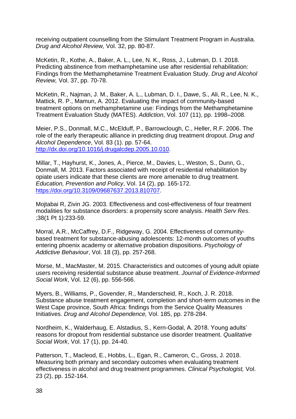receiving outpatient counselling from the Stimulant Treatment Program in Australia. *Drug and Alcohol Review,* Vol. 32, pp. 80-87.

McKetin, R., Kothe, A., Baker, A. L., Lee, N. K., Ross, J., Lubman, D. I. 2018. Predicting abstinence from methamphetamine use after residential rehabilitation: Findings from the Methamphetamine Treatment Evaluation Study. *Drug and Alcohol Review,* Vol. 37, pp. 70-78.

McKetin, R., Najman, J. M., Baker, A. L., Lubman, D. I., Dawe, S., Ali, R., Lee, N. K., Mattick, R. P., Mamun, A. 2012. Evaluating the impact of community-based treatment options on methamphetamine use: Findings from the Methamphetamine Treatment Evaluation Study (MATES). *Addiction*, Vol. 107 (11), pp. 1998–2008.

Meier, P.S., Donmall, M.C., McElduff, P., Barrowclough, C., Heller, R.F. 2006. The role of the early therapeutic alliance in predicting drug treatment dropout. *Drug and Alcohol Dependence*, Vol. 83 (1). pp. 57-64. [http://dx.doi.org/10.1016/j.drugalcdep.2005.10.010.](http://dx.doi.org/10.1016/j.drugalcdep.2005.10.010)

Millar, T., Hayhurst, K., Jones, A., Pierce, M., Davies, L., Weston, S., Dunn, G., Donmall, M. 2013. Factors associated with receipt of residential rehabilitation by opiate users indicate that these clients are more amenable to drug treatment*. Education, Prevention and Policy*, Vol. 14 (2), pp. 165-172. [https://doi.org/10.3109/09687637.2013.810707.](https://doi.org/10.3109/09687637.2013.810707)

Mojtabai R, Zivin JG. 2003. Effectiveness and cost-effectiveness of four treatment modalities for substance disorders: a propensity score analysis. *Health Serv Res*. ;38(1 Pt 1):233-59.

Morral, A.R., McCaffrey, D.F., Ridgeway, G. 2004. Effectiveness of communitybased treatment for substance-abusing adolescents: 12-month outcomes of youths entering phoenix academy or alternative probation dispositions. *Psychology of Addictive Behaviour*, Vol. 18 (3), pp. 257-268.

Morse, M., MacMaster, M. 2015. Characteristics and outcomes of young adult opiate users receiving residential substance abuse treatment. *Journal of Evidence-Informed Social Work*, Vol. 12 (6), pp. 556-566.

Myers, B., Williams, P., Govender, R., Manderscheid, R., Koch, J. R. 2018. Substance abuse treatment engagement, completion and short-term outcomes in the West Cape province, South Africa: findings from the Service Quality Measures Initiatives. *Drug and Alcohol Dependence,* Vol. 185, pp. 278-284.

Nordheim, K., Walderhaug, E. Alstadius, S., Kern-Godal, A. 2018. Young adults' reasons for dropout from residential substance use disorder treatment. *Qualitative Social Work*, Vol. 17 (1), pp. 24-40.

Patterson, T., Macleod, E., Hobbs, L., Egan, R., Cameron, C., Gross, J. 2018. Measuring both primary and secondary outcomes when evaluating treatment effectiveness in alcohol and drug treatment programmes. *Clinical Psychologist,* Vol. 23 (2), pp. 152-164.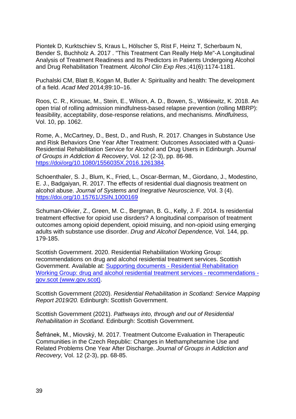Piontek D, Kurktschiev S, Kraus L, Hölscher S, Rist F, Heinz T, Scherbaum N, Bender S, Buchholz A. 2017 . "This Treatment Can Really Help Me"-A Longitudinal Analysis of Treatment Readiness and Its Predictors in Patients Undergoing Alcohol and Drug Rehabilitation Treatment*. Alcohol Clin Exp Res*.;41(6):1174-1181.

Puchalski CM, Blatt B, Kogan M, Butler A: Spirituality and health: The development of a field. *Acad Med* 2014;89:10–16.

Roos, C. R., Kirouac, M., Stein, E., Wilson, A. D., Bowen, S., Witkiewitz, K. 2018. An open trial of rolling admission mindfulness-based relapse prevention (rolling MBRP): feasibility, acceptability, dose-response relations, and mechanisms. *Mindfulness,*  Vol. 10, pp. 1062.

Rome, A., McCartney, D., Best, D., and Rush, R. 2017. Changes in Substance Use and Risk Behaviors One Year After Treatment: Outcomes Associated with a Quasi-Residential Rehabilitation Service for Alcohol and Drug Users in Edinburgh. *Journal of Groups in Addiction & Recovery*, Vol. 12 (2-3), pp. 86-98. [https://doi/org/10.1080/1556035X.2016.1261384.](https://doi/org/10.1080/1556035X.2016.1261384)

Schoenthaler, S. J., Blum, K., Fried, L., Oscar-Berman, M., Giordano, J., Modestino, E. J., Badgaiyan, R. 2017. The effects of residential dual diagnosis treatment on alcohol abuse. *Journal of Systems and Inegrative Neuroscience,* Vol. 3 (4). <https://doi.org/10.15761/JSIN.1000169>

Schuman-Olivier, Z., Green, M. C., Bergman, B. G., Kelly, J. F. 2014. Is residential treatment effective for opioid use disrders? A longitudinal comparison of treatment outcomes among opioid dependent, opioid misuing, and non-opioid using emerging adults with substance use disorder. *Drug and Alcohol Dependence,* Vol. 144, pp. 179-185.

Scottish Government. 2020. Residential Rehabilitation Working Group: recommendations on drug and alcohol residential treatment services. Scottish Government. Available at: Supporting documents - [Residential Rehabilitation](https://www.gov.scot/publications/residential-rehabilitation-working-group-preliminary-recommendations-drug-alcohol-residential-treatment-services/documents/)  [Working Group: drug and alcohol residential treatment services -](https://www.gov.scot/publications/residential-rehabilitation-working-group-preliminary-recommendations-drug-alcohol-residential-treatment-services/documents/) recommendations [gov.scot \(www.gov.scot\).](https://www.gov.scot/publications/residential-rehabilitation-working-group-preliminary-recommendations-drug-alcohol-residential-treatment-services/documents/)

Scottish Government (2020). *Residential Rehabilitation in Scotland: Service Mapping Report 2019/20.* Edinburgh: Scottish Government.

Scottish Government (2021). *Pathways into, through and out of Residential Rehabilitation in Scotland.* Edinburgh: Scottish Government.

Šefránek, M., Miovský, M. 2017. Treatment Outcome Evaluation in Therapeutic Communities in the Czech Republic: Changes in Methamphetamine Use and Related Problems One Year After Discharge. *Journal of Groups in Addiction and Recovery,* Vol. 12 (2-3), pp. 68-85.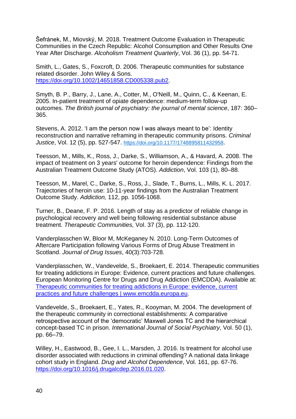Šefránek, M., Miovský, M. 2018. Treatment Outcome Evaluation in Therapeutic Communities in the Czech Republic: Alcohol Consumption and Other Results One Year After Discharge. *Alcoholism Treatment Quarterly*, Vol. 36 (1), pp. 54-71.

Smith, L., Gates, S., Foxcroft, D. 2006. Therapeutic communities for substance related disorder. John Wiley & Sons. [https://doi.org/10.1002/14651858.CD005338.pub2.](https://doi.org/10.1002/14651858.CD005338.pub2)

Smyth, B. P., Barry, J., Lane, A., Cotter, M., O'Neill, M., Quinn, C., & Keenan, E. 2005. In-patient treatment of opiate dependence: medium-term follow-up outcomes. *The British journal of psychiatry: the journal of mental science*, 187: 360– 365.

Stevens, A. 2012. 'I am the person now I was always meant to be': Identity reconstruction and narrative reframing in therapeutic community prisons. *Criminal Justice*, Vol. 12 (5), pp. 527-547. [https://doi.org/10.1177/1748895811432958](https://doi.org/10.1177%2F1748895811432958).

Teesson, M., Mills, K., Ross, J., Darke, S., Williamson, A., & Havard, A. 2008. The impact of treatment on 3 years' outcome for heroin dependence: Findings from the Australian Treatment Outcome Study (ATOS). *Addiction*, Vol. 103 (1), 80–88.

Teesson, M., Marel, C., Darke, S., Ross, J., Slade, T., Burns, L., Mills, K. L. 2017. Trajectories of heroin use: 10-11-year findings from the Australian Treatment Outcome Study. *Addiction,* 112, pp. 1056-1068.

Turner, B., Deane, F. P. 2016. Length of stay as a predictor of reliable change in psychological recovery and well being following residential substance abuse treatment. *Therapeutic Communities,* Vol. 37 (3), pp. 112-120.

Vanderplasschen W, Bloor M, McKeganey N. 2010. Long-Term Outcomes of Aftercare Participation following Various Forms of Drug Abuse Treatment in Scotland. *Journal of Drug Issues*, 40(3):703-728.

Vanderplasschen, W., Vandevelde, S., Broekaert, E. 2014. Therapeutic communities for treating addictions in Europe: Evidence, current practices and future challenges. European Monitoring Centre for Drugs and Drug Addiction (EMCDDA). Available at: [Therapeutic communities for treating addictions in Europe: evidence, current](https://www.emcdda.europa.eu/publications/insights/therapeutic-communities_en#:~:text=Therapeutic%20communities%20for%20treating%20addictions%20in%20Europe%3A%20evidence%2C,relevance%20in%20the%20world%20of%20drug%20treatment%20today.)  [practices and future challenges | www.emcdda.europa.eu.](https://www.emcdda.europa.eu/publications/insights/therapeutic-communities_en#:~:text=Therapeutic%20communities%20for%20treating%20addictions%20in%20Europe%3A%20evidence%2C,relevance%20in%20the%20world%20of%20drug%20treatment%20today.)

Vandevelde, S., Broekaert, E., Yates, R., Kooyman, M. 2004. The development of the therapeutic community in correctional establishments: A comparative retrospective account of the 'democratic' Maxwell Jones TC and the hierarchical concept-based TC in prison. *International Journal of Social Psychiatry*, Vol. 50 (1), pp. 66–79.

Willey, H., Eastwood, B., Gee, I. L., Marsden, J. 2016. Is treatment for alcohol use disorder associated with reductions in criminal offending? A national data linkage cohort study in England. *Drug and Alcohol Dependence*, Vol. 161, pp. 67-76. [https://doi.org/10.1016/j.drugalcdep.2016.01.020.](https://doi.org/10.1016/j.drugalcdep.2016.01.020)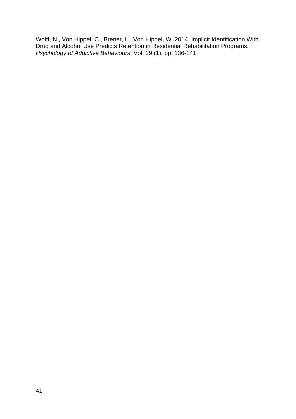Wolff, N., Von Hippel, C., Brener, L., Von Hippel, W. 2014. Implicit Identification With Drug and Alcohol Use Predicts Retention in Residential Rehabilitation Programs. *Psychology of Addictive Behaviours*, Vol. 29 (1), pp. 136-141.